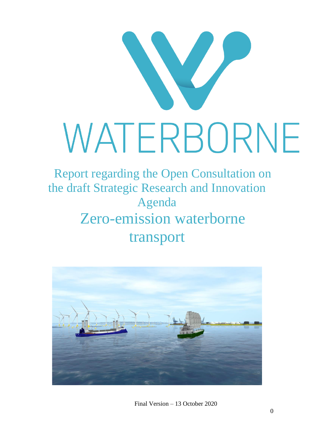

Report regarding the Open Consultation on the draft Strategic Research and Innovation Agenda Zero-emission waterborne transport



Final Version – 13 October 2020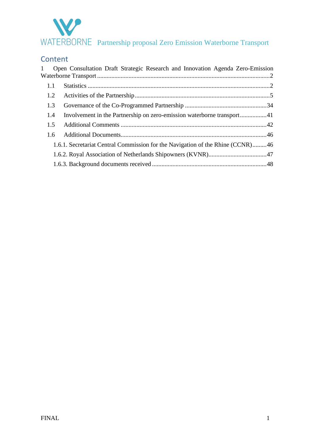

### Content

| 1             | Open Consultation Draft Strategic Research and Innovation Agenda Zero-Emission |  |  |  |  |  |
|---------------|--------------------------------------------------------------------------------|--|--|--|--|--|
| 1.1           |                                                                                |  |  |  |  |  |
| 1.2           |                                                                                |  |  |  |  |  |
| 1.3           |                                                                                |  |  |  |  |  |
| 1.4           |                                                                                |  |  |  |  |  |
| 1.5           |                                                                                |  |  |  |  |  |
| $1.6^{\circ}$ |                                                                                |  |  |  |  |  |
|               | 1.6.1. Secretariat Central Commission for the Navigation of the Rhine (CCNR)46 |  |  |  |  |  |
|               |                                                                                |  |  |  |  |  |
|               |                                                                                |  |  |  |  |  |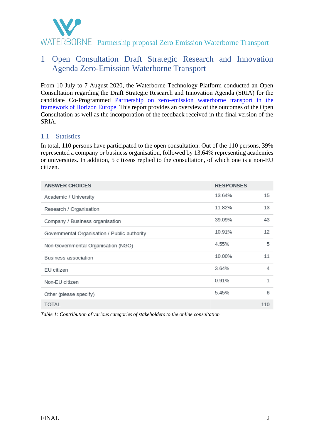

### <span id="page-2-0"></span>1 Open Consultation Draft Strategic Research and Innovation Agenda Zero-Emission Waterborne Transport

From 10 July to 7 August 2020, the Waterborne Technology Platform conducted an Open Consultation regarding the Draft Strategic Research and Innovation Agenda (SRIA) for the candidate Co-Programmed [Partnership on zero-emission waterborne transport in the](https://ec.europa.eu/info/sites/info/files/research_and_innovation/funding/documents/european_partnership_for_zero-emission_waterborne_transport.pdf)  [framework of Horizon Europe.](https://ec.europa.eu/info/sites/info/files/research_and_innovation/funding/documents/european_partnership_for_zero-emission_waterborne_transport.pdf) This report provides an overview of the outcomes of the Open Consultation as well as the incorporation of the feedback received in the final version of the SRIA.

#### <span id="page-2-1"></span>1.1 Statistics

In total, 110 persons have participated to the open consultation. Out of the 110 persons, 39% represented a company or business organisation, followed by 13,64% representing academies or universities. In addition, 5 citizens replied to the consultation, of which one is a non-EU citizen.

| <b>ANSWER CHOICES</b>                        | <b>RESPONSES</b> |     |
|----------------------------------------------|------------------|-----|
| Academic / University                        | 13.64%           | 15  |
| Research / Organisation                      | 11.82%           | 13  |
| Company / Business organisation              | 39.09%           | 43  |
| Governmental Organisation / Public authority | 10.91%           | 12  |
| Non-Governmental Organisation (NGO)          | 4.55%            | 5   |
| Business association                         | 10.00%           | 11  |
| EU citizen                                   | 3.64%            | 4   |
| Non-EU citizen                               | 0.91%            | 1   |
| Other (please specify)                       | 5.45%            | 6   |
| <b>TOTAL</b>                                 |                  | 110 |

*Table 1: Contribution of various categories of stakeholders to the online consultation*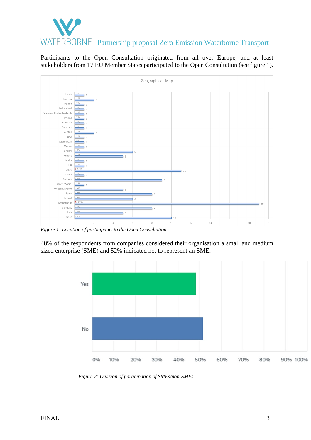

Participants to the Open Consultation originated from all over Europe, and at least stakeholders from 17 EU Member States participated to the Open Consultation (see figure 1).



*Figure 1: Location of participants to the Open Consultation*

48% of the respondents from companies considered their organisation a small and medium sized enterprise (SME) and 52% indicated not to represent an SME.



*Figure 2: Division of participation of SMEs/non-SMEs*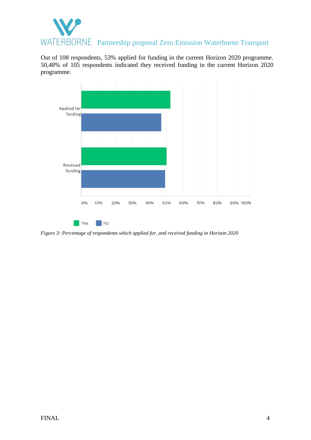

Out of 108 respondents, 53% applied for funding in the current Horizon 2020 programme. 50,48% of 105 respondents indicated they received funding in the current Horizon 2020 programme.



*Figure 3: Percentage of respondents which applied for, and received funding in Horizon 2020*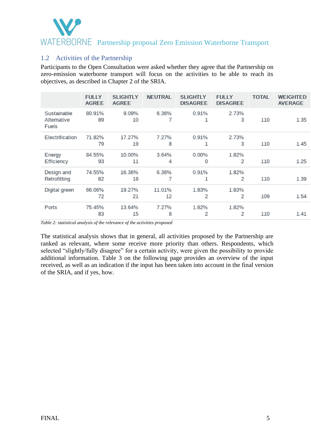### <span id="page-5-0"></span>1.2 Activities of the Partnership

Participants to the Open Consultation were asked whether they agree that the Partnership on zero-emission waterborne transport will focus on the activities to be able to reach its objectives, as described in Chapter 2 of the SRIA.

|                                     | <b>FULLY</b><br><b>AGREE</b> | <b>SLIGHTLY</b><br><b>AGREE</b> | <b>NEUTRAL</b> | <b>SLIGHTLY</b><br><b>DISAGREE</b> | <b>FULLY</b><br><b>DISAGREE</b> | <b>TOTAL</b> | <b>WEIGHTED</b><br><b>AVERAGE</b> |
|-------------------------------------|------------------------------|---------------------------------|----------------|------------------------------------|---------------------------------|--------------|-----------------------------------|
| Sustainable<br>Alternative<br>Fuels | 80.91%<br>89                 | 9.09%<br>10                     | 6.36%          | 0.91%                              | 2.73%<br>3                      | 110          | 1.35                              |
| Electrification                     | 71.82%<br>79                 | 17.27%<br>19                    | 7.27%<br>8     | 0.91%<br>1                         | 2.73%<br>3                      | 110          | 1.45                              |
| Energy<br>Efficiency                | 84.55%<br>93                 | 10.00%<br>11                    | 3.64%<br>4     | $0.00\%$<br>0                      | 1.82%<br>2                      | 110          | 1.25                              |
| Design and<br>Retrofitting          | 74.55%<br>82                 | 16.36%<br>18                    | 6.36%<br>7     | 0.91%<br>1                         | 1.82%<br>2                      | 110          | 1.39                              |
| Digital green                       | 66.06%<br>72                 | 19.27%<br>21                    | 11.01%<br>12   | 1.83%<br>2                         | 1.83%<br>2                      | 109          | 1.54                              |
| Ports                               | 75.45%<br>83                 | 13.64%<br>15                    | 7.27%<br>8     | 1.82%<br>2                         | 1.82%<br>2                      | 110          | 1.41                              |

*Table 2: statistical analysis of the relevance of the activities proposed* 

The statistical analysis shows that in general, all activities proposed by the Partnership are ranked as relevant, where some receive more priority than others. Respondents, which selected "slightly/fully disagree" for a certain activity, were given the possibility to provide additional information. Table 3 on the following page provides an overview of the input received, as well as an indication if the input has been taken into account in the final version of the SRIA, and if yes, how.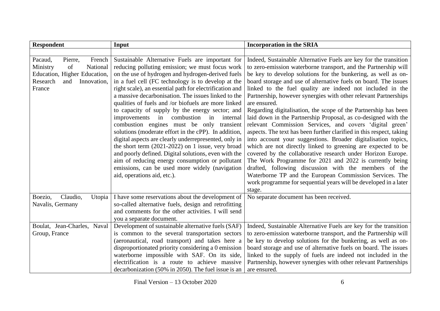| <b>Respondent</b>                                                                                                                      | Input                                                                                                                                                                                                                                                                                                                                                                                                                                                                                                                                                                                                                                                                                                                                                                                                                                                                                                      | <b>Incorporation in the SRIA</b>                                                                                                                                                                                                                                                                                                                                                                                                                                                                                                                                                                                                                                                                                                                                                                                                                                                                                                                                                                                                                                                                                                                              |
|----------------------------------------------------------------------------------------------------------------------------------------|------------------------------------------------------------------------------------------------------------------------------------------------------------------------------------------------------------------------------------------------------------------------------------------------------------------------------------------------------------------------------------------------------------------------------------------------------------------------------------------------------------------------------------------------------------------------------------------------------------------------------------------------------------------------------------------------------------------------------------------------------------------------------------------------------------------------------------------------------------------------------------------------------------|---------------------------------------------------------------------------------------------------------------------------------------------------------------------------------------------------------------------------------------------------------------------------------------------------------------------------------------------------------------------------------------------------------------------------------------------------------------------------------------------------------------------------------------------------------------------------------------------------------------------------------------------------------------------------------------------------------------------------------------------------------------------------------------------------------------------------------------------------------------------------------------------------------------------------------------------------------------------------------------------------------------------------------------------------------------------------------------------------------------------------------------------------------------|
|                                                                                                                                        |                                                                                                                                                                                                                                                                                                                                                                                                                                                                                                                                                                                                                                                                                                                                                                                                                                                                                                            |                                                                                                                                                                                                                                                                                                                                                                                                                                                                                                                                                                                                                                                                                                                                                                                                                                                                                                                                                                                                                                                                                                                                                               |
| French<br>Pacaud,<br>Pierre,<br>Ministry<br>National<br>of<br>Education, Higher Education,<br>Research<br>and<br>Innovation,<br>France | Sustainable Alternative Fuels are important for<br>reducing polluting emission; we must focus work<br>on the use of hydrogen and hydrogen-derived fuels<br>in a fuel cell (FC technology is to develop at the<br>right scale), an essential path for electrification and<br>a massive decarbonisation. The issues linked to the<br>qualities of fuels and /or biofuels are more linked<br>to capacity of supply by the energy sector; and<br>in combustion in<br>improvements<br>internal<br>combustion engines must be only transient<br>solutions (moderate effort in the cPP). In addition,<br>digital aspects are clearly underrepresented, only in<br>the short term $(2021-2022)$ on 1 issue, very broad<br>and poorly defined. Digital solutions, even with the<br>aim of reducing energy consumption or pollutant<br>emissions, can be used more widely (navigation<br>aid, operations aid, etc.). | Indeed, Sustainable Alternative Fuels are key for the transition<br>to zero-emission waterborne transport, and the Partnership will<br>be key to develop solutions for the bunkering, as well as on-<br>board storage and use of alternative fuels on board. The issues<br>linked to the fuel quality are indeed not included in the<br>Partnership, however synergies with other relevant Partnerships<br>are ensured.<br>Regarding digitalisation, the scope of the Partnership has been<br>laid down in the Partnership Proposal, as co-designed with the<br>relevant Commission Services, and covers 'digital green'<br>aspects. The text has been further clarified in this respect, taking<br>into account your suggestions. Broader digitalisation topics,<br>which are not directly linked to greening are expected to be<br>covered by the collaborative research under Horizon Europe.<br>The Work Programme for 2021 and 2022 is currently being<br>drafted, following discussion with the members of the<br>Waterborne TP and the European Commission Services. The<br>work programme for sequential years will be developed in a later<br>stage. |
| Claudio,<br>Boezio,<br>Utopia<br>Navalis, Germany                                                                                      | I have some reservations about the development of<br>so-called alternative fuels, design and retrofitting<br>and comments for the other activities. I will send<br>you a separate document.                                                                                                                                                                                                                                                                                                                                                                                                                                                                                                                                                                                                                                                                                                                | No separate document has been received.                                                                                                                                                                                                                                                                                                                                                                                                                                                                                                                                                                                                                                                                                                                                                                                                                                                                                                                                                                                                                                                                                                                       |
| Boulat, Jean-Charles, Naval<br>Group, France                                                                                           | Development of sustainable alternative fuels (SAF)<br>is common to the several transportation sectors<br>(aeronautical, road transport) and takes here a<br>disproportionated priority considering a 0 emission<br>waterborne impossible with SAF. On its side,<br>electrification is a route to achieve massive<br>decarbonization (50% in 2050). The fuel issue is an                                                                                                                                                                                                                                                                                                                                                                                                                                                                                                                                    | Indeed, Sustainable Alternative Fuels are key for the transition<br>to zero-emission waterborne transport, and the Partnership will<br>be key to develop solutions for the bunkering, as well as on-<br>board storage and use of alternative fuels on board. The issues<br>linked to the supply of fuels are indeed not included in the<br>Partnership, however synergies with other relevant Partnerships<br>are ensured.                                                                                                                                                                                                                                                                                                                                                                                                                                                                                                                                                                                                                                                                                                                                    |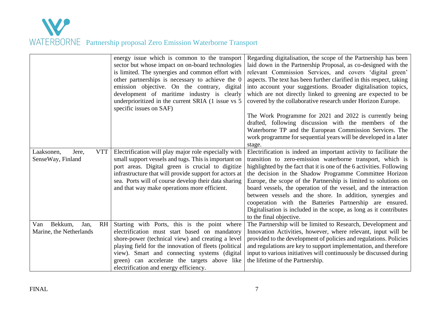

|                                                         | energy issue which is common to the transport<br>sector but whose impact on on-board technologies<br>is limited. The synergies and common effort with<br>other partnerships is necessary to achieve the 0<br>emission objective. On the contrary, digital<br>development of maritime industry is clearly<br>underprioritized in the current SRIA (1 issue vs 5<br>specific issues on SAF) | Regarding digitalisation, the scope of the Partnership has been<br>laid down in the Partnership Proposal, as co-designed with the<br>relevant Commission Services, and covers 'digital green'<br>aspects. The text has been further clarified in this respect, taking<br>into account your suggestions. Broader digitalisation topics,<br>which are not directly linked to greening are expected to be<br>covered by the collaborative research under Horizon Europe.                                                                                                                                                             |
|---------------------------------------------------------|-------------------------------------------------------------------------------------------------------------------------------------------------------------------------------------------------------------------------------------------------------------------------------------------------------------------------------------------------------------------------------------------|-----------------------------------------------------------------------------------------------------------------------------------------------------------------------------------------------------------------------------------------------------------------------------------------------------------------------------------------------------------------------------------------------------------------------------------------------------------------------------------------------------------------------------------------------------------------------------------------------------------------------------------|
|                                                         |                                                                                                                                                                                                                                                                                                                                                                                           | The Work Programme for 2021 and 2022 is currently being<br>drafted, following discussion with the members of the<br>Waterborne TP and the European Commission Services. The<br>work programme for sequential years will be developed in a later<br>stage.                                                                                                                                                                                                                                                                                                                                                                         |
| <b>VTT</b><br>Laaksonen,<br>Jere,<br>SenseWay, Finland  | Electrification will play major role especially with<br>small support vessels and tugs. This is important on<br>port areas. Digital green is crucial to digitize<br>infrastructure that will provide support for actors at<br>sea. Ports will of course develop their data sharing<br>and that way make operations more efficient.                                                        | Electrification is indeed an important activity to facilitate the<br>transition to zero-emission waterborne transport, which is<br>highlighted by the fact that it is one of the 6 activities. Following<br>the decision in the Shadow Programme Committee Horizon<br>Europe, the scope of the Partnership is limited to solutions on<br>board vessels, the operation of the vessel, and the interaction<br>between vessels and the shore. In addition, synergies and<br>cooperation with the Batteries Partnership are ensured.<br>Digitalisation is included in the scope, as long as it contributes<br>to the final objective. |
| Bekkum,<br>RH<br>Van<br>Jan,<br>Marine, the Netherlands | Starting with Ports, this is the point where<br>electrification must start based on mandatory<br>shore-power (technical view) and creating a level<br>playing field for the innovation of fleets (political<br>view). Smart and connecting systems (digital<br>green) can accelerate the targets above like<br>electrification and energy efficiency.                                     | The Partnership will be limited to Research, Development and<br>Innovation Activities, however, where relevant, input will be<br>provided to the development of policies and regulations. Policies<br>and regulations are key to support implementation, and therefore<br>input to various initiatives will continuously be discussed during<br>the lifetime of the Partnership.                                                                                                                                                                                                                                                  |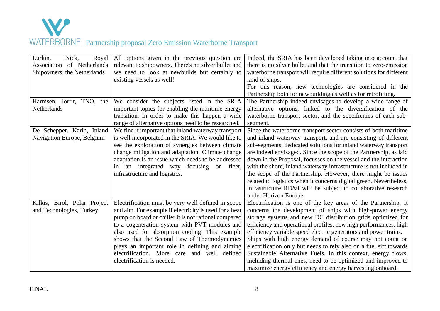

| Lurkin,<br>Nick,<br>Royal<br>Association of Netherlands<br>Shipowners, the Netherlands<br>Harmsen, Jorrit,<br>TNO, the | All options given in the previous question are<br>relevant to shipowners. There's no silver bullet and<br>we need to look at newbuilds but certainly to<br>existing vessels as well!<br>We consider the subjects listed in the SRIA                                                                                                                                                                                                                      | Indeed, the SRIA has been developed taking into account that<br>there is no silver bullet and that the transition to zero-emission<br>waterborne transport will require different solutions for different<br>kind of ships.<br>For this reason, new technologies are considered in the<br>Partnership both for newbuilding as well as for retrofitting.<br>The Partnership indeed envisages to develop a wide range of                                                                                                                                                                                                                                           |
|------------------------------------------------------------------------------------------------------------------------|----------------------------------------------------------------------------------------------------------------------------------------------------------------------------------------------------------------------------------------------------------------------------------------------------------------------------------------------------------------------------------------------------------------------------------------------------------|------------------------------------------------------------------------------------------------------------------------------------------------------------------------------------------------------------------------------------------------------------------------------------------------------------------------------------------------------------------------------------------------------------------------------------------------------------------------------------------------------------------------------------------------------------------------------------------------------------------------------------------------------------------|
| <b>Netherlands</b>                                                                                                     | important topics for enabling the maritime energy<br>transition. In order to make this happen a wide<br>range of alternative options need to be researched.                                                                                                                                                                                                                                                                                              | alternative options, linked to the diversification of the<br>waterborne transport sector, and the specificities of each sub-<br>segment.                                                                                                                                                                                                                                                                                                                                                                                                                                                                                                                         |
| De Schepper, Karin, Inland<br>Navigation Europe, Belgium                                                               | We find it important that inland waterway transport<br>is well incorporated in the SRIA. We would like to<br>see the exploration of synergies between climate<br>change mitigation and adaptation. Climate change<br>adaptation is an issue which needs to be addressed<br>in an integrated way focusing on fleet,<br>infrastructure and logistics.                                                                                                      | Since the waterborne transport sector consists of both maritime<br>and inland waterway transport, and are consisting of different<br>sub-segments, dedicated solutions for inland waterway transport<br>are indeed envisaged. Since the scope of the Partnership, as laid<br>down in the Proposal, focusses on the vessel and the interaction<br>with the shore, inland waterway infrastructure is not included in<br>the scope of the Partnership. However, there might be issues<br>related to logistics when it concerns digital green. Nevertheless,<br>infrastructure RD&I will be subject to collaborative research<br>under Horizon Europe.               |
| Kilkis, Birol, Polar Project<br>and Technologies, Turkey                                                               | Electrification must be very well defined in scope<br>and aim. For example if electricity is used for a heat<br>pump on board or chiller it is not rational compared<br>to a cogeneration system with PVT modules and<br>also used for absorption cooling. This example<br>shows that the Second Law of Thermodynamics<br>plays an important role in defining and aiming<br>electrification. More care<br>and well defined<br>electrification is needed. | Electrification is one of the key areas of the Partnership. It<br>concerns the development of ships with high-power energy<br>storage systems and new DC distribution grids optimized for<br>efficiency and operational profiles, new high performances, high<br>efficiency variable speed electric generators and power trains.<br>Ships with high energy demand of course may not count on<br>electrification only but needs to rely also on a fuel sift towards<br>Sustainable Alternative Fuels. In this context, energy flows,<br>including thermal ones, need to be optimized and improved to<br>maximize energy efficiency and energy harvesting onboard. |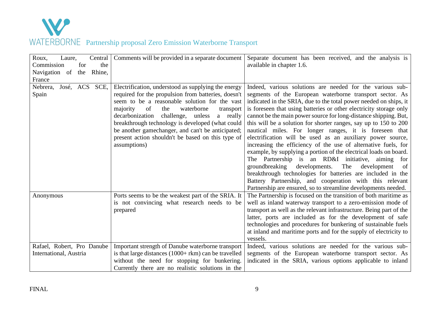

| Roux,<br>Central<br>Laure,          | Comments will be provided in a separate document                                                                                                                                                                                                                                                                                                                                                                                                  | Separate document has been received, and the analysis is                                                                                                                                                                                                                                                                                                                                                                                                                                                                                                                                                                                                                                                                                                                                                                                                      |
|-------------------------------------|---------------------------------------------------------------------------------------------------------------------------------------------------------------------------------------------------------------------------------------------------------------------------------------------------------------------------------------------------------------------------------------------------------------------------------------------------|---------------------------------------------------------------------------------------------------------------------------------------------------------------------------------------------------------------------------------------------------------------------------------------------------------------------------------------------------------------------------------------------------------------------------------------------------------------------------------------------------------------------------------------------------------------------------------------------------------------------------------------------------------------------------------------------------------------------------------------------------------------------------------------------------------------------------------------------------------------|
| the<br>for<br>Commission            |                                                                                                                                                                                                                                                                                                                                                                                                                                                   | available in chapter 1.6.                                                                                                                                                                                                                                                                                                                                                                                                                                                                                                                                                                                                                                                                                                                                                                                                                                     |
| Navigation of<br>Rhine,<br>the      |                                                                                                                                                                                                                                                                                                                                                                                                                                                   |                                                                                                                                                                                                                                                                                                                                                                                                                                                                                                                                                                                                                                                                                                                                                                                                                                                               |
| France                              |                                                                                                                                                                                                                                                                                                                                                                                                                                                   |                                                                                                                                                                                                                                                                                                                                                                                                                                                                                                                                                                                                                                                                                                                                                                                                                                                               |
| José, ACS SCE,<br>Nebrera,<br>Spain | Electrification, understood as supplying the energy<br>required for the propulsion from batteries, doesn't<br>seem to be a reasonable solution for the vast<br>of<br>the<br>waterborne<br>majority<br>transport<br>decarbonization<br>challenge, unless<br>a really<br>breakthrough technology is developed (what could<br>be another gamechanger, and can't be anticipated;<br>present action shouldn't be based on this type of<br>assumptions) | Indeed, various solutions are needed for the various sub-<br>segments of the European waterborne transport sector. As<br>indicated in the SRIA, due to the total power needed on ships, it<br>is foreseen that using batteries or other electricity storage only<br>cannot be the main power source for long-distance shipping. But,<br>this will be a solution for shorter ranges, say up to 150 to 200<br>nautical miles. For longer ranges, it is foreseen that<br>electrification will be used as an auxiliary power source,<br>increasing the efficiency of the use of alternative fuels, for<br>example, by supplying a portion of the electrical loads on board.<br>The Partnership is an RD&I initiative, aiming<br>for<br>groundbreaking<br>developments.<br>The<br>development<br>of<br>breakthrough technologies for batteries are included in the |
|                                     |                                                                                                                                                                                                                                                                                                                                                                                                                                                   | Battery Partnership, and cooperation with this relevant<br>Partnership are ensured, so to streamline developments needed.                                                                                                                                                                                                                                                                                                                                                                                                                                                                                                                                                                                                                                                                                                                                     |
| Anonymous                           | Ports seems to be the weakest part of the SRIA. It<br>is not convincing what research needs to be<br>prepared                                                                                                                                                                                                                                                                                                                                     | The Partnership is focused on the transition of both maritime as<br>well as inland waterway transport to a zero-emission mode of<br>transport as well as the relevant infrastructure. Being part of the<br>latter, ports are included as for the development of safe<br>technologies and procedures for bunkering of sustainable fuels<br>at inland and maritime ports and for the supply of electricity to<br>vessels.                                                                                                                                                                                                                                                                                                                                                                                                                                       |
| Rafael, Robert, Pro Danube          | Important strength of Danube waterborne transport                                                                                                                                                                                                                                                                                                                                                                                                 | Indeed, various solutions are needed for the various sub-                                                                                                                                                                                                                                                                                                                                                                                                                                                                                                                                                                                                                                                                                                                                                                                                     |
| International, Austria              | is that large distances $(1000 + \text{rkm})$ can be travelled                                                                                                                                                                                                                                                                                                                                                                                    | segments of the European waterborne transport sector. As                                                                                                                                                                                                                                                                                                                                                                                                                                                                                                                                                                                                                                                                                                                                                                                                      |
|                                     | without the need for stopping for bunkering.                                                                                                                                                                                                                                                                                                                                                                                                      | indicated in the SRIA, various options applicable to inland                                                                                                                                                                                                                                                                                                                                                                                                                                                                                                                                                                                                                                                                                                                                                                                                   |
|                                     | Currently there are no realistic solutions in the                                                                                                                                                                                                                                                                                                                                                                                                 |                                                                                                                                                                                                                                                                                                                                                                                                                                                                                                                                                                                                                                                                                                                                                                                                                                                               |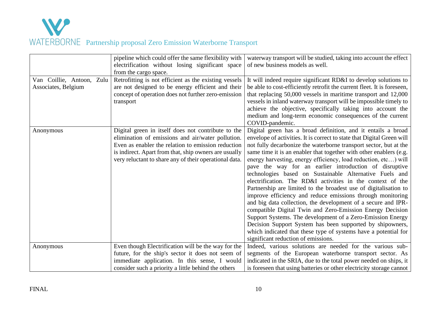

|                                                  | pipeline which could offer the same flexibility with<br>electrification without losing significant space<br>from the cargo space.                                                                                                                                                | waterway transport will be studied, taking into account the effect<br>of new business models as well.                                                                                                                                                                                                                                                                                                                                                                                                                                                                                                                                                                                                                                                                                                                                                                                                                                                                                                                                        |
|--------------------------------------------------|----------------------------------------------------------------------------------------------------------------------------------------------------------------------------------------------------------------------------------------------------------------------------------|----------------------------------------------------------------------------------------------------------------------------------------------------------------------------------------------------------------------------------------------------------------------------------------------------------------------------------------------------------------------------------------------------------------------------------------------------------------------------------------------------------------------------------------------------------------------------------------------------------------------------------------------------------------------------------------------------------------------------------------------------------------------------------------------------------------------------------------------------------------------------------------------------------------------------------------------------------------------------------------------------------------------------------------------|
| Van Coillie, Antoon, Zulu<br>Associates, Belgium | Retrofitting is not efficient as the existing vessels<br>are not designed to be energy efficient and their<br>concept of operation does not further zero-emission<br>transport                                                                                                   | It will indeed require significant RD&I to develop solutions to<br>be able to cost-efficiently retrofit the current fleet. It is foreseen,<br>that replacing 50,000 vessels in maritime transport and 12,000<br>vessels in inland waterway transport will be impossible timely to<br>achieve the objective, specifically taking into account the<br>medium and long-term economic consequences of the current<br>COVID-pandemic.                                                                                                                                                                                                                                                                                                                                                                                                                                                                                                                                                                                                             |
| Anonymous                                        | Digital green in itself does not contribute to the<br>elimination of emissions and air/water pollution.<br>Even as enabler the relation to emission reduction<br>is indirect. Apart from that, ship owners are usually<br>very reluctant to share any of their operational data. | Digital green has a broad definition, and it entails a broad<br>envelope of activities. It is correct to state that Digital Green will<br>not fully decarbonize the waterborne transport sector, but at the<br>same time it is an enabler that together with other enablers (e.g.<br>energy harvesting, energy efficiency, load reduction, etc) will<br>pave the way for an earlier introduction of disruptive<br>technologies based on Sustainable Alternative Fuels and<br>electrification. The RD&I activities in the context of the<br>Partnership are limited to the broadest use of digitalisation to<br>improve efficiency and reduce emissions through monitoring<br>and big data collection, the development of a secure and IPR-<br>compatible Digital Twin and Zero-Emission Energy Decision<br>Support Systems. The development of a Zero-Emission Energy<br>Decision Support System has been supported by shipowners,<br>which indicated that these type of systems have a potential for<br>significant reduction of emissions. |
| Anonymous                                        | Even though Electrification will be the way for the<br>future, for the ship's sector it does not seem of                                                                                                                                                                         | Indeed, various solutions are needed for the various sub-<br>segments of the European waterborne transport sector. As                                                                                                                                                                                                                                                                                                                                                                                                                                                                                                                                                                                                                                                                                                                                                                                                                                                                                                                        |
|                                                  | immediate application. In this sense, I would<br>consider such a priority a little behind the others                                                                                                                                                                             | indicated in the SRIA, due to the total power needed on ships, it<br>is foreseen that using batteries or other electricity storage cannot                                                                                                                                                                                                                                                                                                                                                                                                                                                                                                                                                                                                                                                                                                                                                                                                                                                                                                    |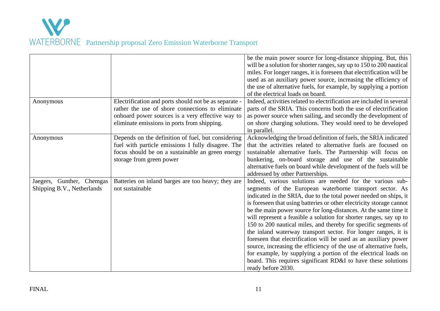

|                                                         |                                                                                                                                                                                                              | be the main power source for long-distance shipping. But, this<br>will be a solution for shorter ranges, say up to 150 to 200 nautical<br>miles. For longer ranges, it is foreseen that electrification will be<br>used as an auxiliary power source, increasing the efficiency of<br>the use of alternative fuels, for example, by supplying a portion<br>of the electrical loads on board.                                                                                                                                                                                                                                                                                                                                                                                                                                                         |
|---------------------------------------------------------|--------------------------------------------------------------------------------------------------------------------------------------------------------------------------------------------------------------|------------------------------------------------------------------------------------------------------------------------------------------------------------------------------------------------------------------------------------------------------------------------------------------------------------------------------------------------------------------------------------------------------------------------------------------------------------------------------------------------------------------------------------------------------------------------------------------------------------------------------------------------------------------------------------------------------------------------------------------------------------------------------------------------------------------------------------------------------|
| Anonymous                                               | Electrification and ports should not be as separate -<br>rather the use of shore connections to eliminate<br>onboard power sources is a very effective way to<br>eliminate emissions in ports from shipping. | Indeed, activities related to electrification are included in several<br>parts of the SRIA. This concerns both the use of electrification<br>as power source when sailing, and secondly the development of<br>on shore charging solutions. They would need to be developed<br>in parallel.                                                                                                                                                                                                                                                                                                                                                                                                                                                                                                                                                           |
| Anonymous                                               | Depends on the definition of fuel, but considering<br>fuel with particle emissions I fully disagree. The<br>focus should be on a sustainable an green energy<br>storage from green power                     | Acknowledging the broad definition of fuels, the SRIA indicated<br>that the activities related to alternative fuels are focused on<br>sustainable alternative fuels. The Partnership will focus on<br>bunkering, on-board storage and use of the sustainable<br>alternative fuels on board while development of the fuels will be<br>addressed by other Partnerships.                                                                                                                                                                                                                                                                                                                                                                                                                                                                                |
| Jaegers, Gunther, Chemgas<br>Shipping B.V., Netherlands | Batteries on inland barges are too heavy; they are<br>not sustainable                                                                                                                                        | Indeed, various solutions are needed for the various sub-<br>segments of the European waterborne transport sector. As<br>indicated in the SRIA, due to the total power needed on ships, it<br>is foreseen that using batteries or other electricity storage cannot<br>be the main power source for long-distances. At the same time it<br>will represent a feasible a solution for shorter ranges, say up to<br>150 to 200 nautical miles, and thereby for specific segments of<br>the inland waterway transport sector. For longer ranges, it is<br>foreseen that electrification will be used as an auxiliary power<br>source, increasing the efficiency of the use of alternative fuels,<br>for example, by supplying a portion of the electrical loads on<br>board. This requires significant RD&I to have these solutions<br>ready before 2030. |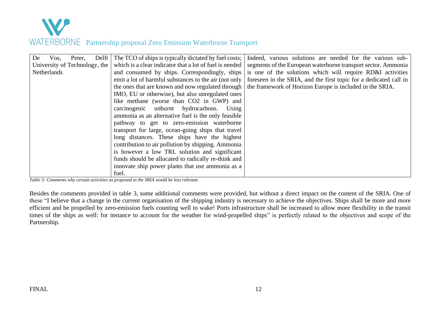

| De | Vos.        | Peter,                        | Delft | The TCO of ships is typically dictated by fuel costs;   | Indeed, various solutions are needed for the various sub-         |
|----|-------------|-------------------------------|-------|---------------------------------------------------------|-------------------------------------------------------------------|
|    |             | University of Technology, the |       | which is a clear indicator that a lot of fuel is needed | segments of the European waterborne transport sector. Ammonia     |
|    | Netherlands |                               |       | and consumed by ships. Correspondingly, ships           | is one of the solutions which will require RD&I activities        |
|    |             |                               |       | emit a lot of harmful substances to the air (not only   | foreseen in the SRIA, and the first topic for a dedicated call in |
|    |             |                               |       | the ones that are known and now regulated through       | the framework of Horizon Europe is included in the SRIA.          |
|    |             |                               |       | IMO, EU or otherwise), but also unregulated ones        |                                                                   |
|    |             |                               |       | like methane (worse than CO2 in GWP) and                |                                                                   |
|    |             |                               |       | carcinogenic unburnt hydrocarbons.<br>Using             |                                                                   |
|    |             |                               |       | ammonia as an alternative fuel is the only feasible     |                                                                   |
|    |             |                               |       | pathway to get to zero-emission waterborne              |                                                                   |
|    |             |                               |       | transport for large, ocean-going ships that travel      |                                                                   |
|    |             |                               |       | long distances. These ships have the highest            |                                                                   |
|    |             |                               |       | contribution to air pollution by shipping. Ammonia      |                                                                   |
|    |             |                               |       | is however a low TRL solution and significant           |                                                                   |
|    |             |                               |       | funds should be allocated to radically re-think and     |                                                                   |
|    |             |                               |       | innovate ship power plants that use ammonia as a        |                                                                   |
|    |             |                               |       | fuel.                                                   |                                                                   |

*Table 3: Comments why certain activities as proposed in the SRIA would be less relevant.*

Besides the comments provided in table 3, some additional comments were provided, but without a direct impact on the content of the SRIA. One of these "I believe that a change in the current organisation of the shipping industry is necessary to achieve the objectives. Ships shall be more and more efficient and be propelled by zero-emission fuels counting well to wake! Ports infrastructure shall be increased to allow more flexibility in the transit times of the ships as well: for instance to account for the weather for wind-propelled ships" is perfectly related to the objectives and scope of the Partnership.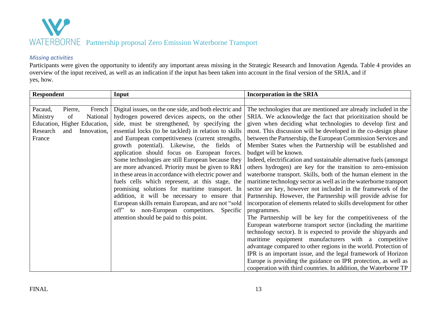

#### *Missing activities*

Participants were given the opportunity to identify any important areas missing in the Strategic Research and Innovation Agenda. Table 4 provides an overview of the input received, as well as an indication if the input has been taken into account in the final version of the SRIA, and if yes, how.

| <b>Respondent</b>                                                                                                                      | Input                                                                                                                                                                                                                                                                                                                                                                                                                                                                                                                                                                                                                                                                                                                                                                                                                                      | <b>Incorporation in the SRIA</b>                                                                                                                                                                                                                                                                                                                                                                                                                                                                                                                                                                                                                                                                                                                                                                                                                                                                                                                                                                                                                                                                                                                                                                                                                                                                                      |
|----------------------------------------------------------------------------------------------------------------------------------------|--------------------------------------------------------------------------------------------------------------------------------------------------------------------------------------------------------------------------------------------------------------------------------------------------------------------------------------------------------------------------------------------------------------------------------------------------------------------------------------------------------------------------------------------------------------------------------------------------------------------------------------------------------------------------------------------------------------------------------------------------------------------------------------------------------------------------------------------|-----------------------------------------------------------------------------------------------------------------------------------------------------------------------------------------------------------------------------------------------------------------------------------------------------------------------------------------------------------------------------------------------------------------------------------------------------------------------------------------------------------------------------------------------------------------------------------------------------------------------------------------------------------------------------------------------------------------------------------------------------------------------------------------------------------------------------------------------------------------------------------------------------------------------------------------------------------------------------------------------------------------------------------------------------------------------------------------------------------------------------------------------------------------------------------------------------------------------------------------------------------------------------------------------------------------------|
|                                                                                                                                        |                                                                                                                                                                                                                                                                                                                                                                                                                                                                                                                                                                                                                                                                                                                                                                                                                                            |                                                                                                                                                                                                                                                                                                                                                                                                                                                                                                                                                                                                                                                                                                                                                                                                                                                                                                                                                                                                                                                                                                                                                                                                                                                                                                                       |
| Pacaud,<br>Pierre,<br>French<br>Ministry<br>National<br>of<br>Education, Higher Education,<br>Research<br>Innovation,<br>and<br>France | Digital issues, on the one side, and both electric and<br>hydrogen powered devices aspects, on the other<br>side, must be strengthened, by specifying the<br>essential locks (to be tackled) in relation to skills<br>and European competitiveness (current strengths,<br>growth potential). Likewise, the fields of<br>application should focus on European forces.<br>Some technologies are still European because they<br>are more advanced. Priority must be given to R&I<br>in these areas in accordance with electric power and<br>fuels cells which represent, at this stage, the<br>promising solutions for maritime transport. In<br>addition, it will be necessary to ensure that<br>European skills remain European, and are not "sold<br>off" to non-European competitors. Specific<br>attention should be paid to this point. | The technologies that are mentioned are already included in the<br>SRIA. We acknowledge the fact that prioritization should be<br>given when deciding what technologies to develop first and<br>most. This discussion will be developed in the co-design phase<br>between the Partnership, the European Commission Services and<br>Member States when the Partnership will be established and<br>budget will be known.<br>Indeed, electrification and sustainable alternative fuels (amongst)<br>others hydrogen) are key for the transition to zero-emission<br>waterborne transport. Skills, both of the human element in the<br>maritime technology sector as well as in the waterborne transport<br>sector are key, however not included in the framework of the<br>Partnership. However, the Partnership will provide advise for<br>incorporation of elements related to skills development for other<br>programmes.<br>The Partnership will be key for the competitiveness of the<br>European waterborne transport sector (including the maritime<br>technology sector). It is expected to provide the shipyards and<br>maritime equipment manufacturers with a competitive<br>advantage compared to other regions in the world. Protection of<br>IPR is an important issue, and the legal framework of Horizon |
|                                                                                                                                        |                                                                                                                                                                                                                                                                                                                                                                                                                                                                                                                                                                                                                                                                                                                                                                                                                                            | Europe is providing the guidance on IPR protection, as well as<br>cooperation with third countries. In addition, the Waterborne TP                                                                                                                                                                                                                                                                                                                                                                                                                                                                                                                                                                                                                                                                                                                                                                                                                                                                                                                                                                                                                                                                                                                                                                                    |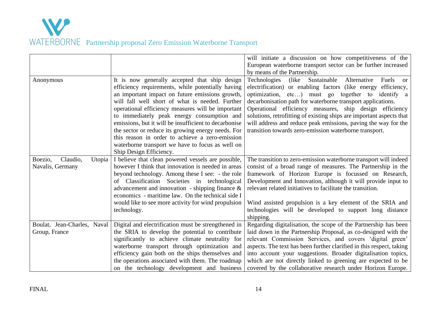

|                               |                                                       | will initiate a discussion on how competitiveness of the<br>European waterborne transport sector can be further increased |
|-------------------------------|-------------------------------------------------------|---------------------------------------------------------------------------------------------------------------------------|
|                               |                                                       | by means of the Partnership.                                                                                              |
| Anonymous                     | It is now generally accepted that ship design         | Sustainable<br>Alternative<br>Technologies<br>(like)<br>Fuels<br><sub>or</sub>                                            |
|                               | efficiency requirements, while potentially having     | electrification) or enabling factors (like energy<br>efficiency,                                                          |
|                               | an important impact on future emissions growth,       | optimization, etc) must go together to identify a                                                                         |
|                               | will fall well short of what is needed. Further       | decarbonisation path for waterborne transport applications.                                                               |
|                               | operational efficiency measures will be important     | Operational efficiency measures, ship design efficiency                                                                   |
|                               | to immediately peak energy consumption and            | solutions, retrofitting of existing ships are important aspects that                                                      |
|                               | emissions, but it will be insufficient to decarbonise | will address and reduce peak emissions, paving the way for the                                                            |
|                               | the sector or reduce its growing energy needs. For    | transition towards zero-emission waterborne transport.                                                                    |
|                               | this reason in order to achieve a zero-emission       |                                                                                                                           |
|                               | waterborne transport we have to focus as well on      |                                                                                                                           |
|                               | Ship Design Efficiency.                               |                                                                                                                           |
| Claudio,<br>Boezio,<br>Utopia | I believe that clean powered vessels are possible,    | The transition to zero-emission waterborne transport will indeed                                                          |
| Navalis, Germany              | however I think that innovation is needed in areas    | consist of a broad range of measures. The Partnership in the                                                              |
|                               | beyond technology. Among these I see: - the role      | framework of Horizon Europe is focussed on Research,                                                                      |
|                               | of Classification Societies in technological          | Development and Innovation, although it will provide input to                                                             |
|                               | advancement and innovation - shipping finance $\&$    | relevant related initiatives to facilitate the transition.                                                                |
|                               | economics - maritime law. On the technical side I     |                                                                                                                           |
|                               | would like to see more activity for wind propulsion   | Wind assisted propulsion is a key element of the SRIA and                                                                 |
|                               | technology.                                           | technologies will be developed to support long distance                                                                   |
|                               |                                                       | shipping.                                                                                                                 |
| Boulat, Jean-Charles, Naval   | Digital and electrification must be strengthened in   | Regarding digitalisation, the scope of the Partnership has been                                                           |
| Group, France                 | the SRIA to develop the potential to contribute       | laid down in the Partnership Proposal, as co-designed with the                                                            |
|                               | significantly to achieve climate neutrality for       | relevant Commission Services, and covers 'digital green'                                                                  |
|                               | waterborne transport through optimization and         | aspects. The text has been further clarified in this respect, taking                                                      |
|                               | efficiency gain both on the ships themselves and      | into account your suggestions. Broader digitalisation topics,                                                             |
|                               | the operations associated with them. The roadmap      | which are not directly linked to greening are expected to be                                                              |
|                               | on the technology development and business            | covered by the collaborative research under Horizon Europe.                                                               |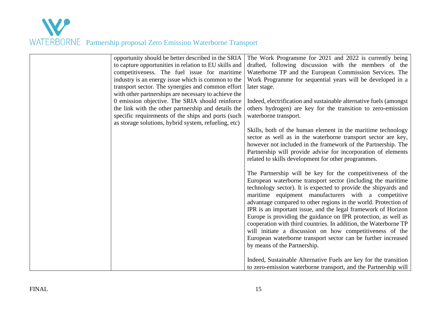

| opportunity should be better described in the SRIA    | The Work Programme for 2021 and 2022 is currently being            |
|-------------------------------------------------------|--------------------------------------------------------------------|
| to capture opportunities in relation to EU skills and | drafted, following discussion with the members of the              |
| competitiveness. The fuel issue for maritime          | Waterborne TP and the European Commission Services. The            |
| industry is an energy issue which is common to the    | Work Programme for sequential years will be developed in a         |
| transport sector. The synergies and common effort     | later stage.                                                       |
| with other partnerships are necessary to achieve the  |                                                                    |
|                                                       |                                                                    |
| 0 emission objective. The SRIA should reinforce       | Indeed, electrification and sustainable alternative fuels (amongst |
| the link with the other partnership and details the   | others hydrogen) are key for the transition to zero-emission       |
| specific requirements of the ships and ports (such    | waterborne transport.                                              |
| as storage solutions, hybrid system, refueling, etc)  |                                                                    |
|                                                       | Skills, both of the human element in the maritime technology       |
|                                                       | sector as well as in the waterborne transport sector are key,      |
|                                                       | however not included in the framework of the Partnership. The      |
|                                                       | Partnership will provide advise for incorporation of elements      |
|                                                       | related to skills development for other programmes.                |
|                                                       |                                                                    |
|                                                       | The Partnership will be key for the competitiveness of the         |
|                                                       | European waterborne transport sector (including the maritime       |
|                                                       | technology sector). It is expected to provide the shipyards and    |
|                                                       | maritime equipment manufacturers with a competitive                |
|                                                       | advantage compared to other regions in the world. Protection of    |
|                                                       | IPR is an important issue, and the legal framework of Horizon      |
|                                                       | Europe is providing the guidance on IPR protection, as well as     |
|                                                       | cooperation with third countries. In addition, the Waterborne TP   |
|                                                       | will initiate a discussion on how competitiveness of the           |
|                                                       | European waterborne transport sector can be further increased      |
|                                                       | by means of the Partnership.                                       |
|                                                       |                                                                    |
|                                                       | Indeed, Sustainable Alternative Fuels are key for the transition   |
|                                                       | to zero-emission waterborne transport, and the Partnership will    |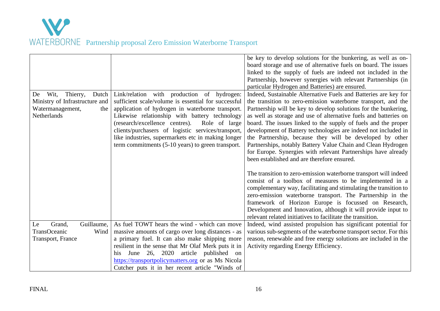

|                                                                                                             |                                                                                                                                                                                                                                                                                                                                                                                                                                      | be key to develop solutions for the bunkering, as well as on-<br>board storage and use of alternative fuels on board. The issues<br>linked to the supply of fuels are indeed not included in the<br>Partnership, however synergies with relevant Partnerships (in<br>particular Hydrogen and Batteries) are ensured.                                                                                                                                                                                                                                                                                                                                    |
|-------------------------------------------------------------------------------------------------------------|--------------------------------------------------------------------------------------------------------------------------------------------------------------------------------------------------------------------------------------------------------------------------------------------------------------------------------------------------------------------------------------------------------------------------------------|---------------------------------------------------------------------------------------------------------------------------------------------------------------------------------------------------------------------------------------------------------------------------------------------------------------------------------------------------------------------------------------------------------------------------------------------------------------------------------------------------------------------------------------------------------------------------------------------------------------------------------------------------------|
| Wit,<br>Dutch<br>Thierry,<br>De<br>Ministry of Infrastructure and<br>Watermanagement,<br>the<br>Netherlands | Link/relation with production of hydrogen:<br>sufficient scale/volume is essential for successful<br>application of hydrogen in waterborne transport.<br>Likewise relationship with battery technology<br>(research/excellence centres).<br>Role of large<br>clients/purchasers of logistic services/transport,<br>like industries, supermarkets etc in making longer<br>term commitments $(5-10 \text{ years})$ to green transport. | Indeed, Sustainable Alternative Fuels and Batteries are key for<br>the transition to zero-emission waterborne transport, and the<br>Partnership will be key to develop solutions for the bunkering,<br>as well as storage and use of alternative fuels and batteries on<br>board. The issues linked to the supply of fuels and the proper<br>development of Battery technologies are indeed not included in<br>the Partnership, because they will be developed by other<br>Partnerships, notably Battery Value Chain and Clean Hydrogen<br>for Europe. Synergies with relevant Partnerships have already<br>been established and are therefore ensured. |
|                                                                                                             |                                                                                                                                                                                                                                                                                                                                                                                                                                      | The transition to zero-emission waterborne transport will indeed<br>consist of a toolbox of measures to be implemented in a<br>complementary way, facilitating and stimulating the transition to<br>zero-emission waterborne transport. The Partnership in the<br>framework of Horizon Europe is focussed on Research,<br>Development and Innovation, although it will provide input to<br>relevant related initiatives to facilitate the transition.                                                                                                                                                                                                   |
| Guillaume,<br>Grand,<br>Le<br>TransOceanic<br>Wind<br>Transport, France                                     | As fuel TOWT hears the wind - which can move<br>massive amounts of cargo over long distances - as<br>a primary fuel. It can also make shipping more<br>resilient in the sense that Mr Olaf Merk puts it in<br>June 26, 2020<br>article published<br>his<br>on<br>https://transportpolicymatters.org or as Ms Nicola<br>Cutcher puts it in her recent article "Winds of                                                               | Indeed, wind assisted propulsion has significant potential for<br>various sub-segments of the waterborne transport sector. For this<br>reason, renewable and free energy solutions are included in the<br>Activity regarding Energy Efficiency.                                                                                                                                                                                                                                                                                                                                                                                                         |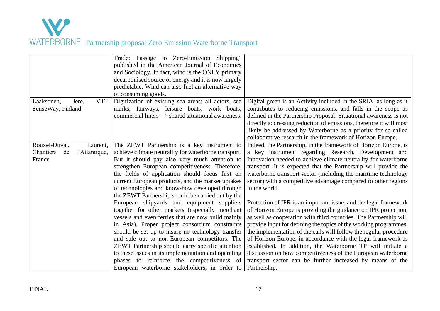

| Jere,<br><b>VTT</b><br>Laaksonen,<br>SenseWay, Finland                  | Trade: Passage to Zero-Emission Shipping"<br>published in the American Journal of Economics<br>and Sociology. In fact, wind is the ONLY primary<br>decarbonised source of energy and it is now largely<br>predictable. Wind can also fuel an alternative way<br>of consuming goods.<br>Digitization of existing sea areas; all actors, sea<br>marks, fairways, leisure boats, work boats,<br>commercial liners --> shared situational awareness.                                                                       | Digital green is an Activity included in the SRIA, as long as it<br>contributes to reducing emissions, and falls in the scope as<br>defined in the Partnership Proposal. Situational awareness is not                                                                                                                                                                                                                                                                                                                                                                                                                        |
|-------------------------------------------------------------------------|------------------------------------------------------------------------------------------------------------------------------------------------------------------------------------------------------------------------------------------------------------------------------------------------------------------------------------------------------------------------------------------------------------------------------------------------------------------------------------------------------------------------|------------------------------------------------------------------------------------------------------------------------------------------------------------------------------------------------------------------------------------------------------------------------------------------------------------------------------------------------------------------------------------------------------------------------------------------------------------------------------------------------------------------------------------------------------------------------------------------------------------------------------|
|                                                                         |                                                                                                                                                                                                                                                                                                                                                                                                                                                                                                                        | directly addressing reduction of emissions, therefore it will most<br>likely be addressed by Waterborne as a priority for so-called<br>collaborative research in the framework of Horizon Europe.                                                                                                                                                                                                                                                                                                                                                                                                                            |
| Rouxel-Duval,<br>Laurent,<br>Chantiers<br>l'Atlantique,<br>de<br>France | The ZEWT Partnership is a key instrument to<br>achieve climate neutrality for waterborne transport.<br>But it should pay also very much attention to<br>strengthen European competitiveness. Therefore,<br>the fields of application should focus first on<br>current European products, and the market uptakes<br>of technologies and know-how developed through<br>the ZEWT Partnership should be carried out by the                                                                                                 | Indeed, the Partnership, in the framework of Horizon Europe, is<br>a key instrument regarding Research, Development and<br>Innovation needed to achieve climate neutrality for waterborne<br>transport. It is expected that the Partnership will provide the<br>waterborne transport sector (including the maritime technology<br>sector) with a competitive advantage compared to other regions<br>in the world.                                                                                                                                                                                                            |
|                                                                         | European shipyards and equipment suppliers<br>together for other markets (especially merchant<br>vessels and even ferries that are now build mainly<br>in Asia). Proper project consortium constraints<br>should be set up to insure no technology transfer<br>and sale out to non-European competitors. The<br>ZEWT Partnership should carry specific attention<br>to these issues in its implementation and operating<br>phases to reinforce the competitiveness of<br>European waterborne stakeholders, in order to | Protection of IPR is an important issue, and the legal framework<br>of Horizon Europe is providing the guidance on IPR protection,<br>as well as cooperation with third countries. The Partnership will<br>provide input for defining the topics of the working programmes,<br>the implementation of the calls will follow the regular procedure<br>of Horizon Europe, in accordance with the legal framework as<br>established. In addition, the Waterborne TP will initiate a<br>discussion on how competitiveness of the European waterborne<br>transport sector can be further increased by means of the<br>Partnership. |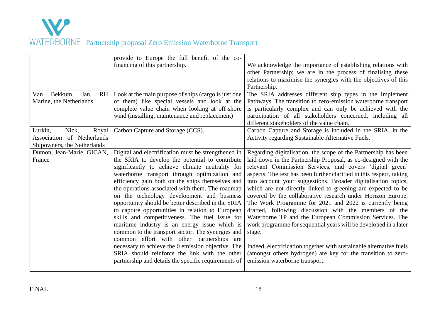

|                                     | provide to Europe the full benefit of the co-        |                                                                      |
|-------------------------------------|------------------------------------------------------|----------------------------------------------------------------------|
|                                     | financing of this partnership.                       | We acknowledge the importance of establishing relations with         |
|                                     |                                                      | other Partnership; we are in the process of finalising these         |
|                                     |                                                      | relations to maximise the synergies with the objectives of this      |
|                                     |                                                      | Partnership.                                                         |
| Bekkum,<br><b>RH</b><br>Van<br>Jan, | Look at the main purpose of ships (cargo is just one | The SRIA addresses different ship types in the Implement             |
| Marine, the Netherlands             | of them) like special vessels and look at the        | Pathways. The transition to zero-emission waterborne transport       |
|                                     | complete value chain when looking at off-shore       | is particularly complex and can only be achieved with the            |
|                                     | wind (installing, maintenance and replacement)       | participation of all stakeholders concerned, including all           |
|                                     |                                                      | different stakeholders of the value chain.                           |
| Lurkin,<br>Nick,<br>Royal           | Carbon Capture and Storage (CCS).                    | Carbon Capture and Storage is included in the SRIA, in the           |
| Association of Netherlands          |                                                      | Activity regarding Sustainable Alternative Fuels.                    |
| Shipowners, the Netherlands         |                                                      |                                                                      |
| Dumon, Jean-Marie, GICAN,           | Digital and electrification must be strengthened in  | Regarding digitalisation, the scope of the Partnership has been      |
| France                              | the SRIA to develop the potential to contribute      | laid down in the Partnership Proposal, as co-designed with the       |
|                                     | significantly to achieve climate neutrality for      | relevant Commission Services, and covers 'digital green'             |
|                                     | waterborne transport through optimization and        | aspects. The text has been further clarified in this respect, taking |
|                                     | efficiency gain both on the ships themselves and     | into account your suggestions. Broader digitalisation topics,        |
|                                     | the operations associated with them. The roadmap     | which are not directly linked to greening are expected to be         |
|                                     | on the technology development and business           | covered by the collaborative research under Horizon Europe.          |
|                                     | opportunity should be better described in the SRIA   | The Work Programme for 2021 and 2022 is currently being              |
|                                     | to capture opportunities in relation to European     | drafted, following discussion with the members of the                |
|                                     | skills and competitiveness. The fuel issue for       | Waterborne TP and the European Commission Services. The              |
|                                     | maritime industry is an energy issue which is        | work programme for sequential years will be developed in a later     |
|                                     | common to the transport sector. The synergies and    | stage.                                                               |
|                                     | common effort with other partnerships are            |                                                                      |
|                                     | necessary to achieve the 0 emission objective. The   | Indeed, electrification together with sustainable alternative fuels  |
|                                     | SRIA should reinforce the link with the other        | (amongst others hydrogen) are key for the transition to zero-        |
|                                     | partnership and details the specific requirements of | emission waterborne transport.                                       |
|                                     |                                                      |                                                                      |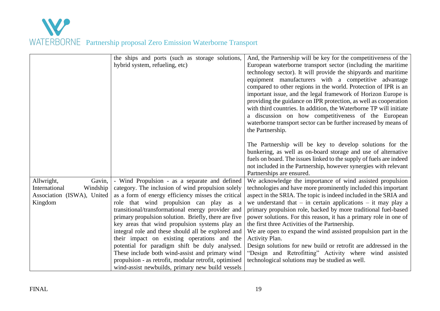

|                            | the ships and ports (such as storage solutions,<br>hybrid system, refueling, etc)                         | And, the Partnership will be key for the competitiveness of the<br>European waterborne transport sector (including the maritime<br>technology sector). It will provide the shipyards and maritime<br>equipment manufacturers with a competitive advantage<br>compared to other regions in the world. Protection of IPR is an<br>important issue, and the legal framework of Horizon Europe is<br>providing the guidance on IPR protection, as well as cooperation<br>with third countries. In addition, the Waterborne TP will initiate<br>a discussion on how competitiveness of the European<br>waterborne transport sector can be further increased by means of<br>the Partnership.<br>The Partnership will be key to develop solutions for the<br>bunkering, as well as on-board storage and use of alternative<br>fuels on board. The issues linked to the supply of fuels are indeed<br>not included in the Partnership, however synergies with relevant |
|----------------------------|-----------------------------------------------------------------------------------------------------------|----------------------------------------------------------------------------------------------------------------------------------------------------------------------------------------------------------------------------------------------------------------------------------------------------------------------------------------------------------------------------------------------------------------------------------------------------------------------------------------------------------------------------------------------------------------------------------------------------------------------------------------------------------------------------------------------------------------------------------------------------------------------------------------------------------------------------------------------------------------------------------------------------------------------------------------------------------------|
|                            |                                                                                                           | Partnerships are ensured.                                                                                                                                                                                                                                                                                                                                                                                                                                                                                                                                                                                                                                                                                                                                                                                                                                                                                                                                      |
| Allwright,<br>Gavin,       | - Wind Propulsion - as a separate and defined                                                             | We acknowledge the importance of wind assisted propulsion                                                                                                                                                                                                                                                                                                                                                                                                                                                                                                                                                                                                                                                                                                                                                                                                                                                                                                      |
| International<br>Windship  | category. The inclusion of wind propulsion solely                                                         | technologies and have more prominently included this important                                                                                                                                                                                                                                                                                                                                                                                                                                                                                                                                                                                                                                                                                                                                                                                                                                                                                                 |
| Association (ISWA), United | as a form of energy efficiency misses the critical                                                        | aspect in the SRIA. The topic is indeed included in the SRIA and                                                                                                                                                                                                                                                                                                                                                                                                                                                                                                                                                                                                                                                                                                                                                                                                                                                                                               |
| Kingdom                    | role that wind propulsion can play as a                                                                   | we understand that $-$ in certain applications $-$ it may play a                                                                                                                                                                                                                                                                                                                                                                                                                                                                                                                                                                                                                                                                                                                                                                                                                                                                                               |
|                            | transitional/transformational energy provider and<br>primary propulsion solution. Briefly, there are five | primary propulsion role, backed by more traditional fuel-based<br>power solutions. For this reason, it has a primary role in one of                                                                                                                                                                                                                                                                                                                                                                                                                                                                                                                                                                                                                                                                                                                                                                                                                            |
|                            | key areas that wind propulsion systems play an                                                            | the first three Activities of the Partnership.                                                                                                                                                                                                                                                                                                                                                                                                                                                                                                                                                                                                                                                                                                                                                                                                                                                                                                                 |
|                            | integral role and these should all be explored and                                                        | We are open to expand the wind assisted propulsion part in the                                                                                                                                                                                                                                                                                                                                                                                                                                                                                                                                                                                                                                                                                                                                                                                                                                                                                                 |
|                            | their impact on existing operations and the                                                               | Activity Plan.                                                                                                                                                                                                                                                                                                                                                                                                                                                                                                                                                                                                                                                                                                                                                                                                                                                                                                                                                 |
|                            | potential for paradigm shift be duly analysed.                                                            | Design solutions for new build or retrofit are addressed in the                                                                                                                                                                                                                                                                                                                                                                                                                                                                                                                                                                                                                                                                                                                                                                                                                                                                                                |
|                            | These include both wind-assist and primary wind                                                           | "Design and Retrofitting" Activity where wind assisted                                                                                                                                                                                                                                                                                                                                                                                                                                                                                                                                                                                                                                                                                                                                                                                                                                                                                                         |
|                            | propulsion - as retrofit, modular retrofit, optimised                                                     | technological solutions may be studied as well.                                                                                                                                                                                                                                                                                                                                                                                                                                                                                                                                                                                                                                                                                                                                                                                                                                                                                                                |
|                            | wind-assist newbuilds, primary new build vessels                                                          |                                                                                                                                                                                                                                                                                                                                                                                                                                                                                                                                                                                                                                                                                                                                                                                                                                                                                                                                                                |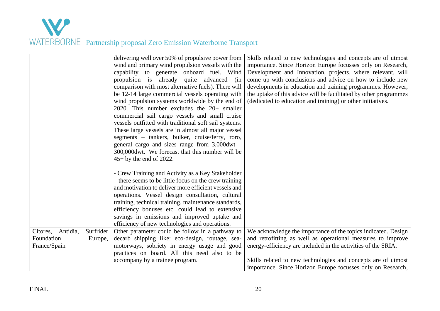|                                                 |                      | delivering well over 50% of propulsive power from<br>wind and primary wind propulsion vessels with the<br>capability to generate onboard fuel. Wind<br>propulsion is already quite advanced (in<br>comparison with most alternative fuels). There will<br>be 12-14 large commercial vessels operating with<br>wind propulsion systems worldwide by the end of<br>2020. This number excludes the 20+ smaller<br>commercial sail cargo vessels and small cruise<br>vessels outfitted with traditional soft sail systems.<br>These large vessels are in almost all major vessel<br>segments - tankers, bulker, cruise/ferry, roro,<br>general cargo and sizes range from $3,000$ dwt -<br>300,000dwt. We forecast that this number will be<br>$45+$ by the end of 2022. | Skills related to new technologies and concepts are of utmost<br>importance. Since Horizon Europe focusses only on Research,<br>Development and Innovation, projects, where relevant, will<br>come up with conclusions and advice on how to include new<br>developments in education and training programmes. However,<br>the uptake of this advice will be facilitated by other programmes<br>(dedicated to education and training) or other initiatives. |
|-------------------------------------------------|----------------------|----------------------------------------------------------------------------------------------------------------------------------------------------------------------------------------------------------------------------------------------------------------------------------------------------------------------------------------------------------------------------------------------------------------------------------------------------------------------------------------------------------------------------------------------------------------------------------------------------------------------------------------------------------------------------------------------------------------------------------------------------------------------|------------------------------------------------------------------------------------------------------------------------------------------------------------------------------------------------------------------------------------------------------------------------------------------------------------------------------------------------------------------------------------------------------------------------------------------------------------|
|                                                 |                      | - Crew Training and Activity as a Key Stakeholder<br>- there seems to be little focus on the crew training<br>and motivation to deliver more efficient vessels and<br>operations. Vessel design consultation, cultural<br>training, technical training, maintenance standards,<br>efficiency bonuses etc. could lead to extensive<br>savings in emissions and improved uptake and<br>efficiency of new technologies and operations.                                                                                                                                                                                                                                                                                                                                  |                                                                                                                                                                                                                                                                                                                                                                                                                                                            |
| Citores, Antidia,<br>Foundation<br>France/Spain | Surfrider<br>Europe, | Other parameter could be follow in a pathway to<br>decarb shipping like: eco-design, routage, sea-<br>motorways, sobriety in energy usage and good<br>practices on board. All this need also to be<br>accompany by a trainee program.                                                                                                                                                                                                                                                                                                                                                                                                                                                                                                                                | We acknowledge the importance of the topics indicated. Design<br>and retrofitting as well as operational measures to improve<br>energy-efficiency are included in the activities of the SRIA.<br>Skills related to new technologies and concepts are of utmost<br>importance. Since Horizon Europe focusses only on Research,                                                                                                                              |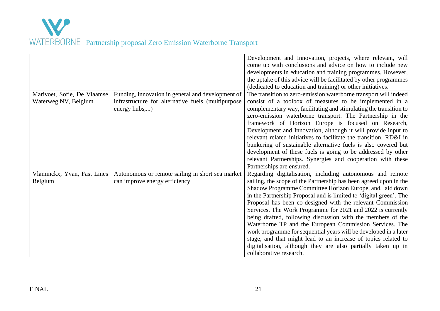

|                             |                                                    | Development and Innovation, projects, where relevant, will<br>come up with conclusions and advice on how to include new |
|-----------------------------|----------------------------------------------------|-------------------------------------------------------------------------------------------------------------------------|
|                             |                                                    | developments in education and training programmes. However,                                                             |
|                             |                                                    | the uptake of this advice will be facilitated by other programmes                                                       |
|                             |                                                    | (dedicated to education and training) or other initiatives.                                                             |
| Marivoet, Sofie, De Vlaamse | Funding, innovation in general and development of  | The transition to zero-emission waterborne transport will indeed                                                        |
| Waterweg NV, Belgium        | infrastructure for alternative fuels (multipurpose | consist of a toolbox of measures to be implemented in a                                                                 |
|                             | energy hubs,)                                      | complementary way, facilitating and stimulating the transition to                                                       |
|                             |                                                    | zero-emission waterborne transport. The Partnership in the                                                              |
|                             |                                                    | framework of Horizon Europe is focused on Research,                                                                     |
|                             |                                                    | Development and Innovation, although it will provide input to                                                           |
|                             |                                                    | relevant related initiatives to facilitate the transition. RD&I in                                                      |
|                             |                                                    | bunkering of sustainable alternative fuels is also covered but                                                          |
|                             |                                                    | development of these fuels is going to be addressed by other                                                            |
|                             |                                                    | relevant Partnerships. Synergies and cooperation with these                                                             |
|                             |                                                    | Partnerships are ensured.                                                                                               |
| Vlaminckx, Yvan, Fast Lines | Autonomous or remote sailing in short sea market   | Regarding digitalisation, including autonomous and remote                                                               |
| Belgium                     | can improve energy efficiency                      | sailing, the scope of the Partnership has been agreed upon in the                                                       |
|                             |                                                    | Shadow Programme Committee Horizon Europe, and, laid down                                                               |
|                             |                                                    | in the Partnership Proposal and is limited to 'digital green'. The                                                      |
|                             |                                                    | Proposal has been co-designed with the relevant Commission                                                              |
|                             |                                                    | Services. The Work Programme for 2021 and 2022 is currently                                                             |
|                             |                                                    | being drafted, following discussion with the members of the                                                             |
|                             |                                                    | Waterborne TP and the European Commission Services. The                                                                 |
|                             |                                                    | work programme for sequential years will be developed in a later                                                        |
|                             |                                                    | stage, and that might lead to an increase of topics related to                                                          |
|                             |                                                    | digitalisation, although they are also partially taken up in                                                            |
|                             |                                                    | collaborative research.                                                                                                 |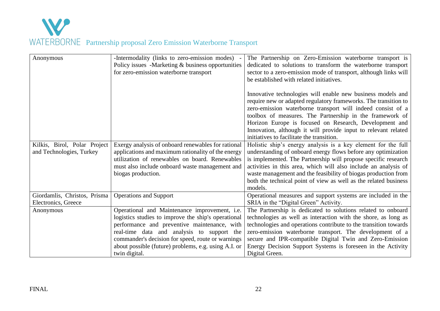

| Anonymous                    | -Intermodality (links to zero-emission modes)        | The Partnership on Zero-Emission waterborne transport is         |
|------------------------------|------------------------------------------------------|------------------------------------------------------------------|
|                              | Policy issues -Marketing & business opportunities    | dedicated to solutions to transform the waterborne transport     |
|                              | for zero-emission waterborne transport               | sector to a zero-emission mode of transport, although links will |
|                              |                                                      | be established with related initiatives.                         |
|                              |                                                      |                                                                  |
|                              |                                                      | Innovative technologies will enable new business models and      |
|                              |                                                      | require new or adapted regulatory frameworks. The transition to  |
|                              |                                                      | zero-emission waterborne transport will indeed consist of a      |
|                              |                                                      | toolbox of measures. The Partnership in the framework of         |
|                              |                                                      | Horizon Europe is focused on Research, Development and           |
|                              |                                                      | Innovation, although it will provide input to relevant related   |
|                              |                                                      | initiatives to facilitate the transition.                        |
| Kilkis, Birol, Polar Project | Exergy analysis of onboard renewables for rational   | Holistic ship's energy analysis is a key element for the full    |
| and Technologies, Turkey     | applications and maximum rationality of the energy   | understanding of onboard energy flows before any optimization    |
|                              | utilization of renewables on board. Renewables       | is implemented. The Partnership will propose specific research   |
|                              | must also include onboard waste management and       | activities in this area, which will also include an analysis of  |
|                              | biogas production.                                   | waste management and the feasibility of biogas production from   |
|                              |                                                      | both the technical point of view as well as the related business |
|                              |                                                      | models.                                                          |
| Giordamlis, Christos, Prisma | <b>Operations and Support</b>                        | Operational measures and support systems are included in the     |
| Electronics, Greece          |                                                      | SRIA in the "Digital Green" Activity.                            |
| Anonymous                    | Operational and Maintenance improvement, i.e.        | The Partnership is dedicated to solutions related to onboard     |
|                              | logistics studies to improve the ship's operational  | technologies as well as interaction with the shore, as long as   |
|                              | performance and preventive maintenance, with         | technologies and operations contribute to the transition towards |
|                              | real-time data and analysis to support the           | zero-emission waterborne transport. The development of a         |
|                              | commander's decision for speed, route or warnings    | secure and IPR-compatible Digital Twin and Zero-Emission         |
|                              | about possible (future) problems, e.g. using A.I. or | Energy Decision Support Systems is foreseen in the Activity      |
|                              | twin digital.                                        | Digital Green.                                                   |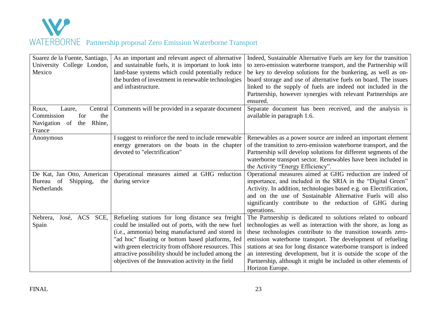

| Suarez de la Fuente, Santiago,<br>University College London,<br>Mexico                             | As an important and relevant aspect of alternative<br>and sustainable fuels, it is important to look into<br>land-base systems which could potentially reduce<br>the burden of investment in renewable technologies<br>and infrastructure.                                                                                                                                          | Indeed, Sustainable Alternative Fuels are key for the transition<br>to zero-emission waterborne transport, and the Partnership will<br>be key to develop solutions for the bunkering, as well as on-<br>board storage and use of alternative fuels on board. The issues<br>linked to the supply of fuels are indeed not included in the<br>Partnership, however synergies with relevant Partnerships are<br>ensured.                                                                       |
|----------------------------------------------------------------------------------------------------|-------------------------------------------------------------------------------------------------------------------------------------------------------------------------------------------------------------------------------------------------------------------------------------------------------------------------------------------------------------------------------------|--------------------------------------------------------------------------------------------------------------------------------------------------------------------------------------------------------------------------------------------------------------------------------------------------------------------------------------------------------------------------------------------------------------------------------------------------------------------------------------------|
| Roux,<br>Laure,<br>Central<br>the<br>Commission<br>for<br>Navigation of<br>Rhine,<br>the<br>France | Comments will be provided in a separate document                                                                                                                                                                                                                                                                                                                                    | Separate document has been received, and the analysis is<br>available in paragraph 1.6.                                                                                                                                                                                                                                                                                                                                                                                                    |
| Anonymous                                                                                          | I suggest to reinforce the need to include renewable<br>energy generators on the boats in the chapter<br>devoted to "electrification"                                                                                                                                                                                                                                               | Renewables as a power source are indeed an important element<br>of the transition to zero-emission waterborne transport, and the<br>Partnership will develop solutions for different segments of the<br>waterborne transport sector. Renewables have been included in<br>the Activity "Energy Efficiency".                                                                                                                                                                                 |
| De Kat, Jan Otto, American<br>Bureau of<br>Shipping,<br>the<br><b>Netherlands</b>                  | Operational measures aimed at GHG reduction<br>during service                                                                                                                                                                                                                                                                                                                       | Operational measures aimed at GHG reduction are indeed of<br>importance, and included in the SRIA in the "Digital Green"<br>Activity. In addition, technologies based e.g. on Electrification,<br>and on the use of Sustainable Alternative Fuels will also<br>significantly contribute to the reduction of GHG during<br>operations.                                                                                                                                                      |
| Nebrera,<br>José, ACS<br>SCE,<br>Spain                                                             | Refueling stations for long distance sea freight<br>could be installed out of ports, with the new fuel<br>(i.e., ammonia) being manufactured and stored in<br>"ad hoc" floating or bottom based platforms, fed<br>with green electricity from offshore resources. This<br>attractive possibility should be included among the<br>objectives of the Innovation activity in the field | The Partnership is dedicated to solutions related to onboard<br>technologies as well as interaction with the shore, as long as<br>these technologies contribute to the transition towards zero-<br>emission waterborne transport. The development of refueling<br>stations at sea for long distance waterborne transport is indeed<br>an interesting development, but it is outside the scope of the<br>Partnership, although it might be included in other elements of<br>Horizon Europe. |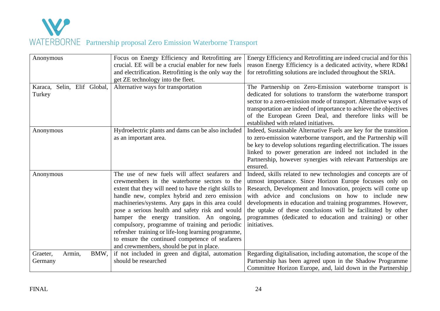

| Anonymous                             | Focus on Energy Efficiency and Retrofitting are<br>crucial. EE will be a crucial enabler for new fuels<br>and electrification. Retrofitting is the only way the<br>get ZE technology into the fleet.                                                                                                                                                                                                                                                                                                                                                                 | Energy Efficiency and Retrofitting are indeed crucial and for this<br>reason Energy Efficiency is a dedicated activity, where RD&I<br>for retrofitting solutions are included throughout the SRIA.                                                                                                                                                                                                                                                         |
|---------------------------------------|----------------------------------------------------------------------------------------------------------------------------------------------------------------------------------------------------------------------------------------------------------------------------------------------------------------------------------------------------------------------------------------------------------------------------------------------------------------------------------------------------------------------------------------------------------------------|------------------------------------------------------------------------------------------------------------------------------------------------------------------------------------------------------------------------------------------------------------------------------------------------------------------------------------------------------------------------------------------------------------------------------------------------------------|
| Karaca, Selin, Elif Global,<br>Turkey | Alternative ways for transportation                                                                                                                                                                                                                                                                                                                                                                                                                                                                                                                                  | The Partnership on Zero-Emission waterborne transport is<br>dedicated for solutions to transform the waterborne transport<br>sector to a zero-emission mode of transport. Alternative ways of<br>transportation are indeed of importance to achieve the objectives<br>of the European Green Deal, and therefore links will be<br>established with related initiatives.                                                                                     |
| Anonymous                             | Hydroelectric plants and dams can be also included<br>as an important area.                                                                                                                                                                                                                                                                                                                                                                                                                                                                                          | Indeed, Sustainable Alternative Fuels are key for the transition<br>to zero-emission waterborne transport, and the Partnership will<br>be key to develop solutions regarding electrification. The issues<br>linked to power generation are indeed not included in the<br>Partnership, however synergies with relevant Partnerships are<br>ensured.                                                                                                         |
| Anonymous                             | The use of new fuels will affect seafarers and<br>crewmembers in the waterborne sectors to the<br>extent that they will need to have the right skills to<br>handle new, complex hybrid and zero emission<br>machineries/systems. Any gaps in this area could<br>pose a serious health and safety risk and would<br>hamper the energy transition. An ongoing,<br>compulsory, programme of training and periodic<br>refresher training or life-long learning programme,<br>to ensure the continued competence of seafarers<br>and crewmembers, should be put in place. | Indeed, skills related to new technologies and concepts are of<br>utmost importance. Since Horizon Europe focusses only on<br>Research, Development and Innovation, projects will come up<br>with advice and conclusions on how to include new<br>developments in education and training programmes. However,<br>the uptake of these conclusions will be facilitated by other<br>programmes (dedicated to education and training) or other<br>initiatives. |
| Graeter,<br>Armin,<br>BMW,<br>Germany | if not included in green and digital, automation<br>should be researched                                                                                                                                                                                                                                                                                                                                                                                                                                                                                             | Regarding digitalisation, including automation, the scope of the<br>Partnership has been agreed upon in the Shadow Programme<br>Committee Horizon Europe, and, laid down in the Partnership                                                                                                                                                                                                                                                                |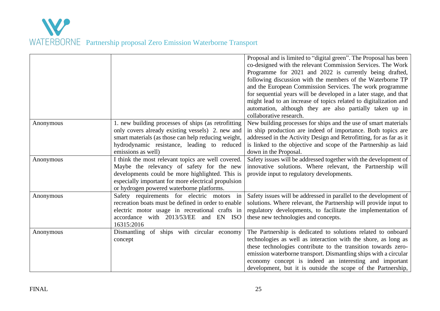|           |                                                                                                                                                                                                                                                        | Proposal and is limited to "digital green". The Proposal has been<br>co-designed with the relevant Commission Services. The Work<br>Programme for 2021 and 2022 is currently being drafted,<br>following discussion with the members of the Waterborne TP<br>and the European Commission Services. The work programme<br>for sequential years will be developed in a later stage, and that<br>might lead to an increase of topics related to digitalization and<br>automation, although they are also partially taken up in<br>collaborative research. |
|-----------|--------------------------------------------------------------------------------------------------------------------------------------------------------------------------------------------------------------------------------------------------------|--------------------------------------------------------------------------------------------------------------------------------------------------------------------------------------------------------------------------------------------------------------------------------------------------------------------------------------------------------------------------------------------------------------------------------------------------------------------------------------------------------------------------------------------------------|
| Anonymous | 1. new building processes of ships (as retrofitting)<br>only covers already existing vessels) 2. new and<br>smart materials (as those can help reducing weight,<br>hydrodynamic resistance, leading to reduced<br>emissions as well)                   | New building processes for ships and the use of smart materials<br>in ship production are indeed of importance. Both topics are<br>addressed in the Activity Design and Retrofitting, for as far as it<br>is linked to the objective and scope of the Partnership as laid<br>down in the Proposal.                                                                                                                                                                                                                                                     |
| Anonymous | I think the most relevant topics are well covered.<br>Maybe the relevancy of safety for the new<br>developments could be more highlighted. This is<br>especially important for more electrical propulsion<br>or hydrogen powered waterborne platforms. | Safety issues will be addressed together with the development of<br>innovative solutions. Where relevant, the Partnership will<br>provide input to regulatory developments.                                                                                                                                                                                                                                                                                                                                                                            |
| Anonymous | Safety requirements for electric motors<br>in<br>recreation boats must be defined in order to enable<br>electric motor usage in recreational crafts in<br>accordance with 2013/53/EE<br>and EN ISO<br>16315:2016                                       | Safety issues will be addressed in parallel to the development of<br>solutions. Where relevant, the Partnership will provide input to<br>regulatory developments, to facilitate the implementation of<br>these new technologies and concepts.                                                                                                                                                                                                                                                                                                          |
| Anonymous | of ships with circular economy<br>Dismantling<br>concept                                                                                                                                                                                               | The Partnership is dedicated to solutions related to onboard<br>technologies as well as interaction with the shore, as long as<br>these technologies contribute to the transition towards zero-<br>emission waterborne transport. Dismantling ships with a circular<br>economy concept is indeed an interesting and important<br>development, but it is outside the scope of the Partnership,                                                                                                                                                          |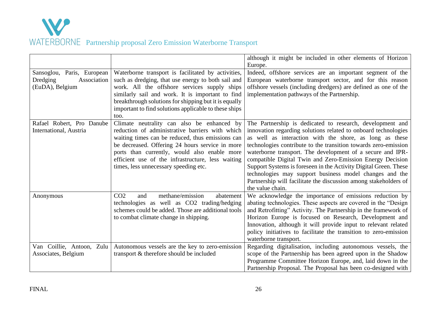

|                                                                          |                                                                                                                                                                                                                                                                                                                                                    | although it might be included in other elements of Horizon<br>Europe.                                                                                                                                                                                                                                                                                                                                                                                                                                                                                                                                       |
|--------------------------------------------------------------------------|----------------------------------------------------------------------------------------------------------------------------------------------------------------------------------------------------------------------------------------------------------------------------------------------------------------------------------------------------|-------------------------------------------------------------------------------------------------------------------------------------------------------------------------------------------------------------------------------------------------------------------------------------------------------------------------------------------------------------------------------------------------------------------------------------------------------------------------------------------------------------------------------------------------------------------------------------------------------------|
| Sansoglou, Paris, European<br>Dredging<br>Association<br>(EuDA), Belgium | Waterborne transport is facilitated by activities,<br>such as dredging, that use energy to both sail and<br>work. All the offshore services supply ships<br>similarly sail and work. It is important to find<br>breakthrough solutions for shipping but it is equally<br>important to find solutions applicable to these ships<br>too.             | Indeed, offshore services are an important segment of the<br>European waterborne transport sector, and for this reason<br>offshore vessels (including dredgers) are defined as one of the<br>implementation pathways of the Partnership.                                                                                                                                                                                                                                                                                                                                                                    |
| Rafael Robert, Pro Danube<br>International, Austria                      | Climate neutrality can also be enhanced by<br>reduction of administrative barriers with which<br>waiting times can be reduced, thus emissions can<br>be decreased. Offering 24 hours service in more<br>ports than currently, would also enable more<br>efficient use of the infrastructure, less waiting<br>times, less unnecessary speeding etc. | The Partnership is dedicated to research, development and<br>innovation regarding solutions related to onboard technologies<br>as well as interaction with the shore, as long as these<br>technologies contribute to the transition towards zero-emission<br>waterborne transport. The development of a secure and IPR-<br>compatible Digital Twin and Zero-Emission Energy Decision<br>Support Systems is foreseen in the Activity Digital Green. These<br>technologies may support business model changes and the<br>Partnership will facilitate the discussion among stakeholders of<br>the value chain. |
| Anonymous                                                                | methane/emission<br>CO <sub>2</sub><br>abatement<br>and<br>technologies as well as CO2 trading/hedging<br>schemes could be added. Those are additional tools<br>to combat climate change in shipping.                                                                                                                                              | We acknowledge the importance of emissions reduction by<br>abating technologies. These aspects are covered in the "Design<br>and Retrofitting" Activity. The Partnership in the framework of<br>Horizon Europe is focused on Research, Development and<br>Innovation, although it will provide input to relevant related<br>policy initiatives to facilitate the transition to zero-emission<br>waterborne transport.                                                                                                                                                                                       |
| Van Coillie, Antoon, Zulu<br>Associates, Belgium                         | Autonomous vessels are the key to zero-emission<br>transport & therefore should be included                                                                                                                                                                                                                                                        | Regarding digitalisation, including autonomous vessels, the<br>scope of the Partnership has been agreed upon in the Shadow<br>Programme Committee Horizon Europe, and, laid down in the<br>Partnership Proposal. The Proposal has been co-designed with                                                                                                                                                                                                                                                                                                                                                     |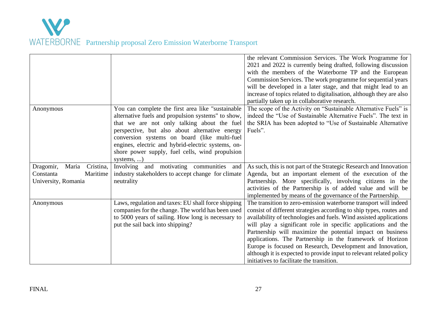|                                                                                 |                                                                                                                                                                                                                                                                                                                                                                                  | the relevant Commission Services. The Work Programme for<br>2021 and 2022 is currently being drafted, following discussion<br>with the members of the Waterborne TP and the European<br>Commission Services. The work programme for sequential years<br>will be developed in a later stage, and that might lead to an<br>increase of topics related to digitalisation, although they are also<br>partially taken up in collaborative research.                                                                                                                                              |
|---------------------------------------------------------------------------------|----------------------------------------------------------------------------------------------------------------------------------------------------------------------------------------------------------------------------------------------------------------------------------------------------------------------------------------------------------------------------------|---------------------------------------------------------------------------------------------------------------------------------------------------------------------------------------------------------------------------------------------------------------------------------------------------------------------------------------------------------------------------------------------------------------------------------------------------------------------------------------------------------------------------------------------------------------------------------------------|
| Anonymous                                                                       | You can complete the first area like "sustainable"<br>alternative fuels and propulsion systems" to show,<br>that we are not only talking about the fuel<br>perspective, but also about alternative energy<br>conversion systems on board (like multi-fuel<br>engines, electric and hybrid-electric systems, on-<br>shore power supply, fuel cells, wind propulsion<br>systems, ) | The scope of the Activity on "Sustainable Alternative Fuels" is<br>indeed the "Use of Sustainable Alternative Fuels". The text in<br>the SRIA has been adopted to "Use of Sustainable Alternative<br>Fuels".                                                                                                                                                                                                                                                                                                                                                                                |
| Maria<br>Cristina,<br>Dragomir,<br>Maritime<br>Constanta<br>University, Romania | Involving and motivating communities<br>and<br>industry stakeholders to accept change for climate<br>neutrality                                                                                                                                                                                                                                                                  | As such, this is not part of the Strategic Research and Innovation<br>Agenda, but an important element of the execution of the<br>Partnership. More specifically, involving citizens in the<br>activities of the Partnership is of added value and will be<br>implemented by means of the governance of the Partnership.                                                                                                                                                                                                                                                                    |
| Anonymous                                                                       | Laws, regulation and taxes: EU shall force shipping<br>companies for the change. The world has been used<br>to 5000 years of sailing. How long is necessary to<br>put the sail back into shipping?                                                                                                                                                                               | The transition to zero-emission waterborne transport will indeed<br>consist of different strategies according to ship types, routes and<br>availability of technologies and fuels. Wind assisted applications<br>will play a significant role in specific applications and the<br>Partnership will maximize the potential impact on business<br>applications. The Partnership in the framework of Horizon<br>Europe is focused on Research, Development and Innovation,<br>although it is expected to provide input to relevant related policy<br>initiatives to facilitate the transition. |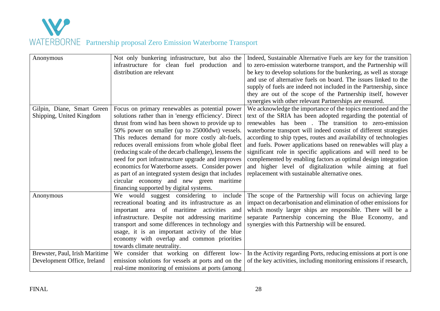

| Anonymous                      | Not only bunkering infrastructure, but also the       | Indeed, Sustainable Alternative Fuels are key for the transition   |
|--------------------------------|-------------------------------------------------------|--------------------------------------------------------------------|
|                                | infrastructure for clean fuel production and          | to zero-emission waterborne transport, and the Partnership will    |
|                                | distribution are relevant                             | be key to develop solutions for the bunkering, as well as storage  |
|                                |                                                       | and use of alternative fuels on board. The issues linked to the    |
|                                |                                                       | supply of fuels are indeed not included in the Partnership, since  |
|                                |                                                       | they are out of the scope of the Partnership itself, however       |
|                                |                                                       | synergies with other relevant Partnerships are ensured.            |
| Gilpin, Diane, Smart Green     | Focus on primary renewables as potential power        | We acknowledge the importance of the topics mentioned and the      |
| Shipping, United Kingdom       | solutions rather than in 'energy efficiency'. Direct  | text of the SRIA has been adopted regarding the potential of       |
|                                | thrust from wind has been shown to provide up to      | renewables has been. The transition to zero-emission               |
|                                | 50% power on smaller (up to 25000dwt) vessels.        | waterborne transport will indeed consist of different strategies   |
|                                | This reduces demand for more costly alt-fuels,        | according to ship types, routes and availability of technologies   |
|                                | reduces overall emissions from whole global fleet     | and fuels. Power applications based on renewables will play a      |
|                                | (reducing scale of the decarb challenge), lessens the | significant role in specific applications and will need to be      |
|                                | need for port infrastructure upgrade and improves     | complemented by enabling factors as optimal design integration     |
|                                | economics for Waterborne assets. Consider power       | and higher level of digitalization while aiming at fuel            |
|                                | as part of an integrated system design that includes  | replacement with sustainable alternative ones.                     |
|                                | circular economy and new green maritime               |                                                                    |
|                                | financing supported by digital systems.               |                                                                    |
| Anonymous                      | We would suggest considering to include               | The scope of the Partnership will focus on achieving large         |
|                                | recreational boating and its infrastructure as an     | impact on decarbonisation and elimination of other emissions for   |
|                                | important area of maritime activities and             | which mostly larger ships are responsible. There will be a         |
|                                | infrastructure. Despite not addressing maritime       | separate Partnership concerning the Blue Economy, and              |
|                                | transport and some differences in technology and      | synergies with this Partnership will be ensured.                   |
|                                | usage, it is an important activity of the blue        |                                                                    |
|                                | economy with overlap and common priorities            |                                                                    |
|                                | towards climate neutrality.                           |                                                                    |
| Brewster, Paul, Irish Maritime | We consider that working on different low-            | In the Activity regarding Ports, reducing emissions at port is one |
| Development Office, Ireland    | emission solutions for vessels at ports and on the    | of the key activities, including monitoring emissions if research, |
|                                | real-time monitoring of emissions at ports (among     |                                                                    |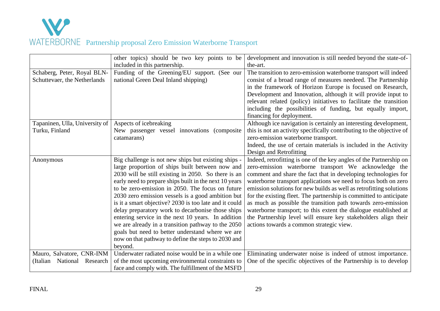

|                                  | other topics) should be two key points to be           | development and innovation is still needed beyond the state-of-       |
|----------------------------------|--------------------------------------------------------|-----------------------------------------------------------------------|
|                                  | included in this partnership.                          | the-art.                                                              |
| Schaberg, Peter, Royal BLN-      | Funding of the Greening/EU support. (See our           | The transition to zero-emission waterborne transport will indeed      |
| Schuttevaer, the Netherlands     | national Green Deal Inland shipping)                   | consist of a broad range of measures needeed. The Partnership         |
|                                  |                                                        | in the framework of Horizon Europe is focused on Research,            |
|                                  |                                                        | Development and Innovation, although it will provide input to         |
|                                  |                                                        | relevant related (policy) initiatives to facilitate the transition    |
|                                  |                                                        | including the possibilities of funding, but equally import,           |
|                                  |                                                        | financing for deployment.                                             |
| Tapaninen, Ulla, University of   | Aspects of icebreaking                                 | Although ice navigation is certainly an interesting development,      |
| Turku, Finland                   | New passenger vessel innovations (composite            | this is not an activity specifically contributing to the objective of |
|                                  | catamarans)                                            | zero-emission waterborne transport.                                   |
|                                  |                                                        | Indeed, the use of certain materials is included in the Activity      |
|                                  |                                                        | Design and Retrofitting                                               |
| Anonymous                        | Big challenge is not new ships but existing ships -    | Indeed, retrofitting is one of the key angles of the Partnership on   |
|                                  | large proportion of ships built between now and        | zero-emission waterborne transport We acknowledge the                 |
|                                  | 2030 will be still existing in 2050. So there is an    | comment and share the fact that in developing technologies for        |
|                                  | early need to prepare ships built in the next 10 years | waterborne transport applications we need to focus both on zero       |
|                                  | to be zero-emission in 2050. The focus on future       | emission solutions for new builds as well as retrofitting solutions   |
|                                  | 2030 zero emission vessels is a good ambition but      | for the existing fleet. The partnership is committed to anticipate    |
|                                  | is it a smart objective? 2030 is too late and it could | as much as possible the transition path towards zero-emission         |
|                                  | delay preparatory work to decarbonise those ships      | waterborne transport; to this extent the dialogue established at      |
|                                  | entering service in the next 10 years. In addition     | the Partnership level will ensure key stakeholders align their        |
|                                  | we are already in a transition pathway to the 2050     | actions towards a common strategic view.                              |
|                                  | goals but need to better understand where we are       |                                                                       |
|                                  | now on that pathway to define the steps to 2030 and    |                                                                       |
|                                  | beyond.                                                |                                                                       |
| Mauro, Salvatore, CNR-INM        | Underwater radiated noise would be in a while one      | Eliminating underwater noise is indeed of utmost importance.          |
| Research<br>(Italian<br>National | of the most upcoming environmental constraints to      | One of the specific objectives of the Partnership is to develop       |
|                                  | face and comply with. The fulfillment of the MSFD      |                                                                       |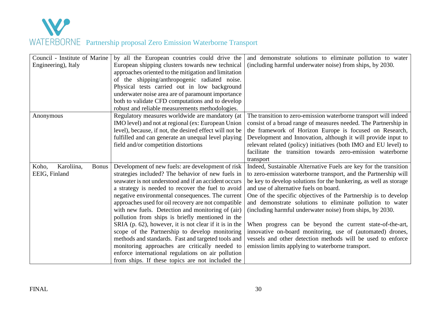

| Council - Institute of Marine       | by all the European countries could drive the           | and demonstrate solutions to eliminate pollution to water         |
|-------------------------------------|---------------------------------------------------------|-------------------------------------------------------------------|
| Engineering), Italy                 | European shipping clusters towards new technical        | (including harmful underwater noise) from ships, by 2030.         |
|                                     | approaches oriented to the mitigation and limitation    |                                                                   |
|                                     | of the shipping/anthropogenic radiated noise.           |                                                                   |
|                                     | Physical tests carried out in low background            |                                                                   |
|                                     | underwater noise area are of paramount importance       |                                                                   |
|                                     | both to validate CFD computations and to develop        |                                                                   |
|                                     | robust and reliable measurements methodologies.         |                                                                   |
| Anonymous                           | Regulatory measures worldwide are mandatory (at         | The transition to zero-emission waterborne transport will indeed  |
|                                     | IMO level) and not at regional (ex: European Union      | consist of a broad range of measures needed. The Partnership in   |
|                                     | level), because, if not, the desired effect will not be | the framework of Horizon Europe is focused on Research,           |
|                                     | fulfilled and can generate an unequal level playing     | Development and Innovation, although it will provide input to     |
|                                     | field and/or competition distortions                    | relevant related (policy) initiatives (both IMO and EU level) to  |
|                                     |                                                         | facilitate the transition towards zero-emission waterborne        |
|                                     |                                                         | transport                                                         |
| Koho,<br>Karoliina,<br><b>Bonus</b> | Development of new fuels: are development of risk       | Indeed, Sustainable Alternative Fuels are key for the transition  |
| EEIG, Finland                       | strategies included? The behavior of new fuels in       | to zero-emission waterborne transport, and the Partnership will   |
|                                     | seawater is not understood and if an accident occurs    | be key to develop solutions for the bunkering, as well as storage |
|                                     | a strategy is needed to recover the fuel to avoid       | and use of alternative fuels on board.                            |
|                                     | negative environmental consequences. The current        | One of the specific objectives of the Partnership is to develop   |
|                                     | approaches used for oil recovery are not compatible     | and demonstrate solutions to eliminate pollution to water         |
|                                     | with new fuels. Detection and monitoring of (air)       | (including harmful underwater noise) from ships, by 2030.         |
|                                     | pollution from ships is briefly mentioned in the        |                                                                   |
|                                     | SRIA (p. 62), however, it is not clear if it is in the  | When progress can be beyond the current state-of-the-art,         |
|                                     | scope of the Partnership to develop monitoring          | innovative on-board monitoring, use of (automated) drones,        |
|                                     | methods and standards. Fast and targeted tools and      | vessels and other detection methods will be used to enforce       |
|                                     | monitoring approaches are critically needed to          | emission limits applying to waterborne transport.                 |
|                                     | enforce international regulations on air pollution      |                                                                   |
|                                     | from ships. If these topics are not included the        |                                                                   |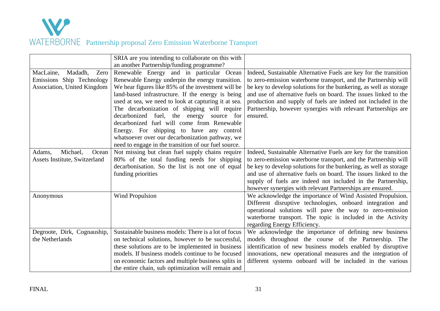

|                                                                                          | SRIA are you intending to collaborate on this with<br>an another Partnership/funding programme?                                                                                                                                                                                                                                                                                                                                                                                                                                                                  |                                                                                                                                                                                                                                                                                                                                                                                                                           |
|------------------------------------------------------------------------------------------|------------------------------------------------------------------------------------------------------------------------------------------------------------------------------------------------------------------------------------------------------------------------------------------------------------------------------------------------------------------------------------------------------------------------------------------------------------------------------------------------------------------------------------------------------------------|---------------------------------------------------------------------------------------------------------------------------------------------------------------------------------------------------------------------------------------------------------------------------------------------------------------------------------------------------------------------------------------------------------------------------|
| MacLaine,<br>Madadh,<br>Zero<br>Emissions Ship Technology<br>Association, United Kingdom | Renewable Energy and in particular Ocean<br>Renewable Energy underpin the energy transition.<br>We hear figures like 85% of the investment will be<br>land-based infrastructure. If the energy is being<br>used at sea, we need to look at capturing it at sea.<br>The decarbonization of shipping will require<br>decarbonized fuel, the energy source for<br>decarbonized fuel will come from Renewable<br>Energy. For shipping to have any control<br>whatsoever over our decarbonization pathway, we<br>need to engage in the transition of our fuel source. | Indeed, Sustainable Alternative Fuels are key for the transition<br>to zero-emission waterborne transport, and the Partnership will<br>be key to develop solutions for the bunkering, as well as storage<br>and use of alternative fuels on board. The issues linked to the<br>production and supply of fuels are indeed not included in the<br>Partnership, however synergies with relevant Partnerships are<br>ensured. |
| Michael,<br>Ocean<br>Adams,<br>Assets Institute, Switzerland                             | Not missing but clean fuel supply chains require<br>80% of the total funding needs for shipping<br>decarbonisation. So the list is not one of equal<br>funding priorities                                                                                                                                                                                                                                                                                                                                                                                        | Indeed, Sustainable Alternative Fuels are key for the transition<br>to zero-emission waterborne transport, and the Partnership will<br>be key to develop solutions for the bunkering, as well as storage<br>and use of alternative fuels on board. The issues linked to the<br>supply of fuels are indeed not included in the Partnership,<br>however synergies with relevant Partnerships are ensured.                   |
| Anonymous                                                                                | Wind Propulsion                                                                                                                                                                                                                                                                                                                                                                                                                                                                                                                                                  | We acknowledge the importance of Wind Assisted Propulsion.<br>Different disruptive technologies, onboard integration and<br>operational solutions will pave the way to zero-emission<br>waterborne transport. The topic is included in the Activity<br>regarding Energy Efficiency.                                                                                                                                       |
| Degroote, Dirk, Cognauship,<br>the Netherlands                                           | Sustainable business models: There is a lot of focus<br>on technical solutions, however to be successful,<br>these solutions are to be implemented in business<br>models. If business models continue to be focused<br>on economic factors and multiple business splits in<br>the entire chain, sub optimization will remain and                                                                                                                                                                                                                                 | We acknowledge the importance of defining new business<br>models throughout the course of the Partnership. The<br>identification of new business models enabled by disruptive<br>innovations, new operational measures and the integration of<br>different systems onboard will be included in the various                                                                                                                |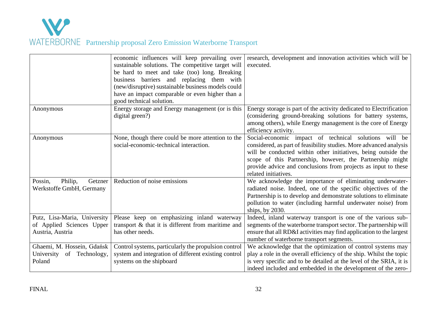

|                                                                               | economic influences will keep prevailing over<br>sustainable solutions. The competitive target will<br>be hard to meet and take (too) long. Breaking<br>business barriers and replacing them with<br>(new/disruptive) sustainable business models could<br>have an impact comparable or even higher than a<br>good technical solution. | research, development and innovation activities which will be<br>executed.                                                                                                                                                                                                                                                                          |
|-------------------------------------------------------------------------------|----------------------------------------------------------------------------------------------------------------------------------------------------------------------------------------------------------------------------------------------------------------------------------------------------------------------------------------|-----------------------------------------------------------------------------------------------------------------------------------------------------------------------------------------------------------------------------------------------------------------------------------------------------------------------------------------------------|
| Anonymous                                                                     | Energy storage and Energy management (or is this<br>digital green?)                                                                                                                                                                                                                                                                    | Energy storage is part of the activity dedicated to Electrification<br>(considering ground-breaking solutions for battery systems,<br>among others), while Energy management is the core of Energy<br>efficiency activity.                                                                                                                          |
| Anonymous                                                                     | None, though there could be more attention to the<br>social-economic-technical interaction.                                                                                                                                                                                                                                            | Social-economic impact of technical solutions will be<br>considered, as part of feasibility studies. More advanced analysis<br>will be conducted within other initiatives, being outside the<br>scope of this Partnership, however, the Partnership might<br>provide advice and conclusions from projects as input to these<br>related initiatives. |
| Possin,<br>Philip,<br>Getzner<br>Werkstoffe GmbH, Germany                     | Reduction of noise emissions                                                                                                                                                                                                                                                                                                           | We acknowledge the importance of eliminating underwater-<br>radiated noise. Indeed, one of the specific objectives of the<br>Partnership is to develop and demonstrate solutions to eliminate<br>pollution to water (including harmful underwater noise) from<br>ships, by $2030$ .                                                                 |
| Putz, Lisa-Maria, University<br>of Applied Sciences Upper<br>Austria, Austria | Please keep on emphasizing inland waterway<br>transport & that it is different from maritime and<br>has other needs.                                                                                                                                                                                                                   | Indeed, inland waterway transport is one of the various sub-<br>segments of the waterborne transport sector. The partnership will<br>ensure that all RD&I activities may find application to the largest<br>number of waterborne transport segments.                                                                                                |
| Ghaemi, M. Hossein, Gdańsk<br>of Technology,<br>University<br>Poland          | Control systems, particularly the propulsion control<br>system and integration of different existing control<br>systems on the shipboard                                                                                                                                                                                               | We acknowledge that the optimization of control systems may<br>play a role in the overall efficiency of the ship. Whilst the topic<br>is very specific and to be detailed at the level of the SRIA, it is<br>indeed included and embedded in the development of the zero-                                                                           |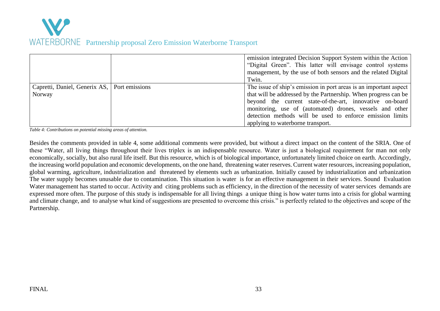

|                                                          | emission integrated Decision Support System within the Action<br>"Digital Green". This latter will envisage control systems<br>management, by the use of both sensors and the related Digital<br>Twin.                                                                                                                                                         |
|----------------------------------------------------------|----------------------------------------------------------------------------------------------------------------------------------------------------------------------------------------------------------------------------------------------------------------------------------------------------------------------------------------------------------------|
| Capretti, Daniel, Generix AS,   Port emissions<br>Norway | The issue of ship's emission in port areas is an important aspect<br>that will be addressed by the Partnership. When progress can be<br>beyond the current state-of-the-art, innovative on-board<br>monitoring, use of (automated) drones, vessels and other<br>detection methods will be used to enforce emission limits<br>applying to waterborne transport. |

*Table 4: Contributions on potential missing areas of attention.*

Besides the comments provided in table 4, some additional comments were provided, but without a direct impact on the content of the SRIA. One of these "Water, all living things throughout their lives triplex is an indispensable resource. Water is just a biological requirement for man not only economically, socially, but also rural life itself. But this resource, which is of biological importance, unfortunately limited choice on earth. Accordingly, the increasing world population and economic developments, on the one hand, threatening water reserves. Current water resources, increasing population, global warming, agriculture, industrialization and threatened by elements such as urbanization. Initially caused by industrialization and urbanization The water supply becomes unusable due to contamination. This situation is water is for an effective management in their services. Sound Evaluation Water management has started to occur. Activity and citing problems such as efficiency, in the direction of the necessity of water services demands are expressed more often. The purpose of this study is indispensable for all living things a unique thing is how water turns into a crisis for global warming and climate change, and to analyse what kind of suggestions are presented to overcome this crisis." is perfectly related to the objectives and scope of the Partnership.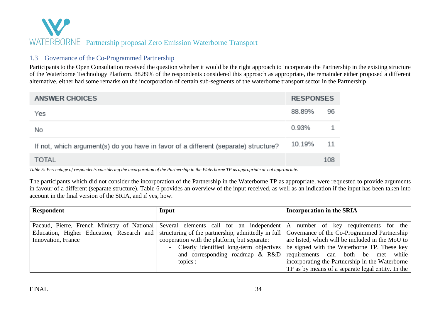### 1.3 Governance of the Co-Programmed Partnership

Participants to the Open Consultation received the question whether it would be the right approach to incorporate the Partnership in the existing structure of the Waterborne Technology Platform. 88.89% of the respondents considered this approach as appropriate, the remainder either proposed a different alternative, either had some remarks on the incorporation of certain sub-segments of the waterborne transport sector in the Partnership.

| <b>ANSWER CHOICES</b>                                                               |        | <b>RESPONSES</b> |  |
|-------------------------------------------------------------------------------------|--------|------------------|--|
| Yes                                                                                 | 88.89% | 96               |  |
| No                                                                                  | 0.93%  |                  |  |
| If not, which argument(s) do you have in favor of a different (separate) structure? | 10.19% | -11              |  |
| <b>TOTAL</b>                                                                        |        | 108              |  |

*Table 5: Percentage of respondents considering the incorporation of the Partnership in the Waterborne TP as appropriate or not appropriate.* 

<span id="page-34-0"></span>The participants which did not consider the incorporation of the Partnership in the Waterborne TP as appropriate, were requested to provide arguments in favour of a different (separate structure). Table 6 provides an overview of the input received, as well as an indication if the input has been taken into account in the final version of the SRIA, and if yes, how.

| <b>Respondent</b>  | Input                                                                                        | <b>Incorporation in the SRIA</b>                                                                                          |
|--------------------|----------------------------------------------------------------------------------------------|---------------------------------------------------------------------------------------------------------------------------|
|                    |                                                                                              |                                                                                                                           |
|                    |                                                                                              | Pacaud, Pierre, French Ministry of National Several elements call for an independent A number of key requirements for the |
|                    | Education, Higher Education, Research and structuring of the partnership, admittedly in full | Governance of the Co-Programmed Partnership                                                                               |
| Innovation, France | cooperation with the platform, but separate:                                                 | are listed, which will be included in the MoU to                                                                          |
|                    | - Clearly identified long-term objectives                                                    | be signed with the Waterborne TP. These key                                                                               |
|                    | and corresponding roadmap $\&$ R&D                                                           | requirements can both be met while                                                                                        |
|                    | topics;                                                                                      | incorporating the Partnership in the Waterborne                                                                           |
|                    |                                                                                              | TP as by means of a separate legal entity. In the $\vert$                                                                 |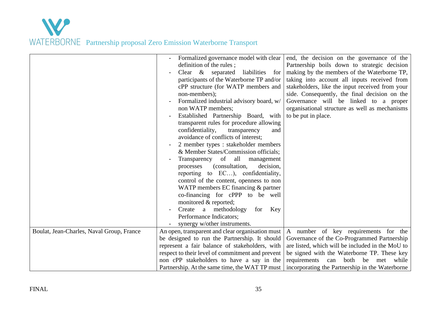

|                                           | Formalized governance model with clear           | end, the decision on the governance of the       |
|-------------------------------------------|--------------------------------------------------|--------------------------------------------------|
|                                           | definition of the rules;                         | Partnership boils down to strategic decision     |
|                                           | Clear & separated<br>liabilities<br>for          | making by the members of the Waterborne TP,      |
|                                           | participants of the Waterborne TP and/or         | taking into account all inputs received from     |
|                                           | cPP structure (for WATP members and              | stakeholders, like the input received from your  |
|                                           | non-members);                                    | side. Consequently, the final decision on the    |
|                                           | Formalized industrial advisory board, w/         | Governance will be linked to a proper            |
|                                           | non WATP members;                                | organisational structure as well as mechanisms   |
|                                           | Established Partnership Board, with              | to be put in place.                              |
|                                           | transparent rules for procedure allowing         |                                                  |
|                                           | confidentiality,<br>transparency<br>and          |                                                  |
|                                           | avoidance of conflicts of interest;              |                                                  |
|                                           | 2 member types : stakeholder members             |                                                  |
|                                           | & Member States/Commission officials;            |                                                  |
|                                           | Transparency of all<br>management                |                                                  |
|                                           | (consultation,<br>decision,<br>processes         |                                                  |
|                                           | reporting to EC), confidentiality,               |                                                  |
|                                           | control of the content, openness to non          |                                                  |
|                                           | WATP members EC financing $&$ partner            |                                                  |
|                                           | co-financing for cPPP to be well                 |                                                  |
|                                           | monitored & reported;                            |                                                  |
|                                           | Create a methodology<br>for<br>Key               |                                                  |
|                                           | Performance Indicators;                          |                                                  |
|                                           | synergy w/other instruments.                     |                                                  |
| Boulat, Jean-Charles, Naval Group, France | An open, transparent and clear organisation must | A number of key requirements for the             |
|                                           | be designed to run the Partnership. It should    | Governance of the Co-Programmed Partnership      |
|                                           | represent a fair balance of stakeholders, with   | are listed, which will be included in the MoU to |
|                                           | respect to their level of commitment and prevent | be signed with the Waterborne TP. These key      |
|                                           | non cPP stakeholders to have a say in the        | requirements<br>both<br>be met while<br>can      |
|                                           | Partnership. At the same time, the WAT TP must   | incorporating the Partnership in the Waterborne  |
|                                           |                                                  |                                                  |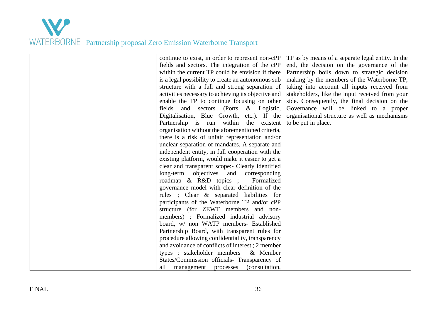

continue to exist, in order to represent non-cPP fields and sectors. The integration of the cPP within the current TP could be envision if there is a legal possibility to create an autonomous sub structure with a full and strong separation of activities necessary to achieving its objective and enable the TP to continue focusing on other fields and sectors (Ports & Logistic, Digitalisation, Blue Growth, etc.). If the Partnership is run within the existent organisation without the aforementioned criteria, there is a risk of unfair representation and/or unclear separation of mandates. A separate and independent entity, in full cooperation with the existing platform, would make it easier to get a clear and transparent scope:- Clearly identified long-term objectives and corresponding roadmap & R&D topics ; - Formalized governance model with clear definition of the rules ; Clear & separated liabilities for participants of the Waterborne TP and/or cPP structure (for ZEWT members and nonmembers) ; Formalized industrial advisory board, w/ non WATP members- Established Partnership Board, with transparent rules for procedure allowing confidentiality, transparency and avoidance of conflicts of interest ; 2 member types : stakeholder members & Member States/Commission officials- Transparency of all management processes (consultation,

TP as by means of a separate legal entity. In the end, the decision on the governance of the Partnership boils down to strategic decision making by the members of the Waterborne TP, taking into account all inputs received from stakeholders, like the input received from your side. Consequently, the final decision on the Governance will be linked to a proper organisational structure as well as mechanisms to be put in place.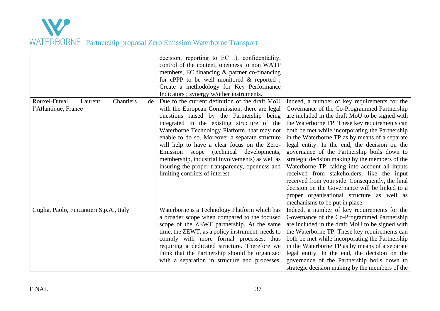

| Rouxel-Duval,<br>Chantiers<br>Laurent,<br>de<br>l'Atlantique, France | decision, reporting to EC), confidentiality,<br>control of the content, openness to non WATP<br>members, EC financing & partner co-financing<br>for cPPP to be well monitored $\&$ reported;<br>Create a methodology for Key Performance<br>Indicators; synergy w/other instruments.<br>Due to the current definition of the draft MoU<br>with the European Commission, there are legal<br>questions raised by the Partnership being<br>integrated in the existing structure of the<br>Waterborne Technology Platform, that may not<br>enable to do so. Moreover a separate structure<br>will help to have a clear focus on the Zero-<br>Emission scope (technical developments,<br>membership, industrial involvements) as well as<br>insuring the proper transparency, openness and<br>limiting conflicts of interest. | Indeed, a number of key requirements for the<br>Governance of the Co-Programmed Partnership<br>are included in the draft MoU to be signed with<br>the Waterborne TP. These key requirements can<br>both be met while incorporating the Partnership<br>in the Waterborne TP as by means of a separate<br>legal entity. In the end, the decision on the<br>governance of the Partnership boils down to<br>strategic decision making by the members of the<br>Waterborne TP, taking into account all inputs<br>received from stakeholders, like the input<br>received from your side. Consequently, the final<br>decision on the Governance will be linked to a |
|----------------------------------------------------------------------|--------------------------------------------------------------------------------------------------------------------------------------------------------------------------------------------------------------------------------------------------------------------------------------------------------------------------------------------------------------------------------------------------------------------------------------------------------------------------------------------------------------------------------------------------------------------------------------------------------------------------------------------------------------------------------------------------------------------------------------------------------------------------------------------------------------------------|--------------------------------------------------------------------------------------------------------------------------------------------------------------------------------------------------------------------------------------------------------------------------------------------------------------------------------------------------------------------------------------------------------------------------------------------------------------------------------------------------------------------------------------------------------------------------------------------------------------------------------------------------------------|
|                                                                      |                                                                                                                                                                                                                                                                                                                                                                                                                                                                                                                                                                                                                                                                                                                                                                                                                          | proper organisational structure as well as<br>mechanisms to be put in place.                                                                                                                                                                                                                                                                                                                                                                                                                                                                                                                                                                                 |
| Guglia, Paolo, Fincantieri S.p.A., Italy                             | Waterborne is a Technology Platform which has<br>a broader scope when compared to the focused<br>scope of the ZEWT partnership. At the same<br>time, the ZEWT, as a policy instrument, needs to<br>comply with more formal processes, thus<br>requiring a dedicated structure. Therefore we<br>think that the Partnership should be organized<br>with a separation in structure and processes,                                                                                                                                                                                                                                                                                                                                                                                                                           | Indeed, a number of key requirements for the<br>Governance of the Co-Programmed Partnership<br>are included in the draft MoU to be signed with<br>the Waterborne TP. These key requirements can<br>both be met while incorporating the Partnership<br>in the Waterborne TP as by means of a separate<br>legal entity. In the end, the decision on the<br>governance of the Partnership boils down to<br>strategic decision making by the members of the                                                                                                                                                                                                      |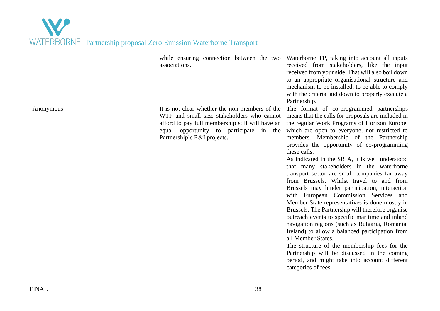|           | while ensuring connection between the two<br>associations.                                                                                                                                                                 | Waterborne TP, taking into account all inputs<br>received from stakeholders, like the input<br>received from your side. That will also boil down<br>to an appropriate organisational structure and<br>mechanism to be installed, to be able to comply<br>with the criteria laid down to properly execute a<br>Partnership.                                                                                                                                                                                                                                                                                                                                                                                                                                                                                                                                                                                                                                                                                                                                 |
|-----------|----------------------------------------------------------------------------------------------------------------------------------------------------------------------------------------------------------------------------|------------------------------------------------------------------------------------------------------------------------------------------------------------------------------------------------------------------------------------------------------------------------------------------------------------------------------------------------------------------------------------------------------------------------------------------------------------------------------------------------------------------------------------------------------------------------------------------------------------------------------------------------------------------------------------------------------------------------------------------------------------------------------------------------------------------------------------------------------------------------------------------------------------------------------------------------------------------------------------------------------------------------------------------------------------|
| Anonymous | It is not clear whether the non-members of the<br>WTP and small size stakeholders who cannot<br>afford to pay full membership still will have an<br>equal opportunity to participate in the<br>Partnership's R&I projects. | The format of co-programmed partnerships<br>means that the calls for proposals are included in<br>the regular Work Programs of Horizon Europe,<br>which are open to everyone, not restricted to<br>members. Membership of the Partnership<br>provides the opportunity of co-programming<br>these calls.<br>As indicated in the SRIA, it is well understood<br>that many stakeholders in the waterborne<br>transport sector are small companies far away<br>from Brussels. Whilst travel to and from<br>Brussels may hinder participation, interaction<br>with European Commission Services and<br>Member State representatives is done mostly in<br>Brussels. The Partnership will therefore organise<br>outreach events to specific maritime and inland<br>navigation regions (such as Bulgaria, Romania,<br>Ireland) to allow a balanced participation from<br>all Member States.<br>The structure of the membership fees for the<br>Partnership will be discussed in the coming<br>period, and might take into account different<br>categories of fees. |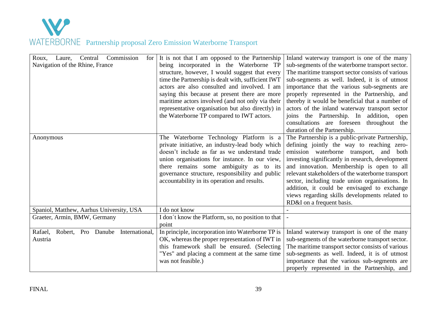

| Commission<br>Roux,<br>Central<br>for<br>Laure,<br>Navigation of the Rhine, France | It is not that I am opposed to the Partnership<br>being incorporated in the Waterborne TP<br>structure, however, I would suggest that every<br>time the Partnership is dealt with, sufficient IWT<br>actors are also consulted and involved. I am<br>saying this because at present there are more<br>maritime actors involved (and not only via their<br>representative organisation but also directly) in<br>the Waterborne TP compared to IWT actors. | Inland waterway transport is one of the many<br>sub-segments of the waterborne transport sector.<br>The maritime transport sector consists of various<br>sub-segments as well. Indeed, it is of utmost<br>importance that the various sub-segments are<br>properly represented in the Partnership, and<br>thereby it would be beneficial that a number of<br>actors of the inland waterway transport sector<br>joins the Partnership. In addition, open<br>consultations are foreseen throughout the<br>duration of the Partnership. |
|------------------------------------------------------------------------------------|----------------------------------------------------------------------------------------------------------------------------------------------------------------------------------------------------------------------------------------------------------------------------------------------------------------------------------------------------------------------------------------------------------------------------------------------------------|--------------------------------------------------------------------------------------------------------------------------------------------------------------------------------------------------------------------------------------------------------------------------------------------------------------------------------------------------------------------------------------------------------------------------------------------------------------------------------------------------------------------------------------|
| Anonymous                                                                          | The Waterborne Technology Platform is a<br>private initiative, an industry-lead body which<br>doesn't include as far as we understand trade<br>union organisations for instance. In our view,<br>there remains some ambiguity as to its<br>governance structure, responsibility and public<br>accountability in its operation and results.                                                                                                               | The Partnership is a public-private Partnership,<br>defining jointly the way to reaching zero-<br>emission waterborne transport,<br>and<br>both<br>investing significantly in research, development<br>and innovation. Membership is open to all<br>relevant stakeholders of the waterborne transport<br>sector, including trade union organisations. In<br>addition, it could be envisaged to exchange<br>views regarding skills developments related to<br>RD&I on a frequent basis.                                               |
| Spaniol, Matthew, Aarhus University, USA                                           | I do not know                                                                                                                                                                                                                                                                                                                                                                                                                                            |                                                                                                                                                                                                                                                                                                                                                                                                                                                                                                                                      |
| Graeter, Armin, BMW, Germany                                                       | I don't know the Platform, so, no position to that<br>point                                                                                                                                                                                                                                                                                                                                                                                              |                                                                                                                                                                                                                                                                                                                                                                                                                                                                                                                                      |
| Robert, Pro Danube International,<br>Rafael,<br>Austria                            | In principle, incorporation into Waterborne TP is<br>OK, whereas the proper representation of IWT in<br>this framework shall be ensured. (Selecting<br>"Yes" and placing a comment at the same time<br>was not feasible.)                                                                                                                                                                                                                                | Inland waterway transport is one of the many<br>sub-segments of the waterborne transport sector.<br>The maritime transport sector consists of various<br>sub-segments as well. Indeed, it is of utmost<br>importance that the various sub-segments are<br>properly represented in the Partnership, and                                                                                                                                                                                                                               |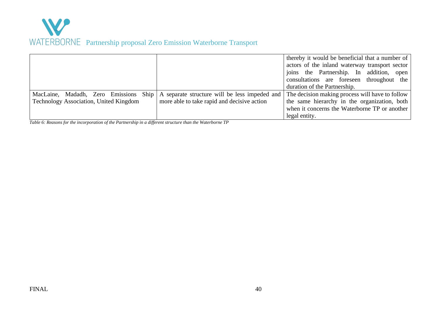

|                                        |                                                      | thereby it would be beneficial that a number of |
|----------------------------------------|------------------------------------------------------|-------------------------------------------------|
|                                        |                                                      | actors of the inland waterway transport sector  |
|                                        |                                                      | joins the Partnership. In addition, open        |
|                                        |                                                      | consultations are foreseen throughout the       |
|                                        |                                                      | duration of the Partnership.                    |
| MacLaine, Madadh, Zero Emissions       | Ship   A separate structure will be less impeded and | The decision making process will have to follow |
| Technology Association, United Kingdom | more able to take rapid and decisive action          | the same hierarchy in the organization, both    |
|                                        |                                                      | when it concerns the Waterborne TP or another   |
|                                        |                                                      | legal entity.                                   |

*Table 6: Reasons for the incorporation of the Partnership in a different structure than the Waterborne TP*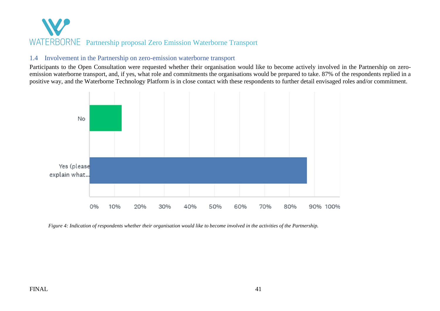#### 1.4 Involvement in the Partnership on zero-emission waterborne transport

Participants to the Open Consultation were requested whether their organisation would like to become actively involved in the Partnership on zeroemission waterborne transport, and, if yes, what role and commitments the organisations would be prepared to take. 87% of the respondents replied in a positive way, and the Waterborne Technology Platform is in close contact with these respondents to further detail envisaged roles and/or commitment.



<span id="page-41-0"></span>*Figure 4: Indication of respondents whether their organisation would like to become involved in the activities of the Partnership.*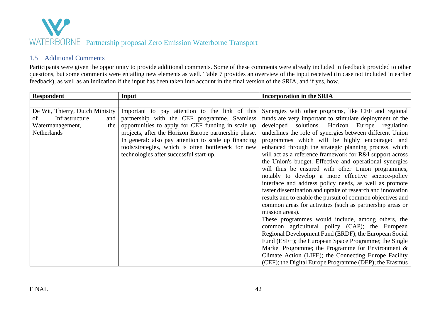

### 1.5 Additional Comments

Participants were given the opportunity to provide additional comments. Some of these comments were already included in feedback provided to other questions, but some comments were entailing new elements as well. Table 7 provides an overview of the input received (in case not included in earlier feedback), as well as an indication if the input has been taken into account in the final version of the SRIA, and if yes, how.

<span id="page-42-0"></span>

| <b>Respondent</b>               | Input                                                 | <b>Incorporation in the SRIA</b>                           |
|---------------------------------|-------------------------------------------------------|------------------------------------------------------------|
|                                 |                                                       |                                                            |
| De Wit, Thierry, Dutch Ministry | Important to pay attention to the link of this        | Synergies with other programs, like CEF and regional       |
| Infrastructure<br>of<br>and     | partnership with the CEF programme. Seamless          | funds are very important to stimulate deployment of the    |
| the<br>Watermanagement,         | opportunities to apply for CEF funding in scale up    | solutions. Horizon Europe regulation<br>developed          |
| Netherlands                     | projects, after the Horizon Europe partnership phase. | underlines the role of synergies between different Union   |
|                                 | In general: also pay attention to scale up financing  | programmes which will be highly encouraged and             |
|                                 | tools/strategies, which is often bottleneck for new   | enhanced through the strategic planning process, which     |
|                                 | technologies after successful start-up.               | will act as a reference framework for R&I support across   |
|                                 |                                                       | the Union's budget. Effective and operational synergies    |
|                                 |                                                       | will thus be ensured with other Union programmes,          |
|                                 |                                                       | notably to develop a more effective science-policy         |
|                                 |                                                       | interface and address policy needs, as well as promote     |
|                                 |                                                       | faster dissemination and uptake of research and innovation |
|                                 |                                                       | results and to enable the pursuit of common objectives and |
|                                 |                                                       | common areas for activities (such as partnership areas or  |
|                                 |                                                       | mission areas).                                            |
|                                 |                                                       | These programmes would include, among others, the          |
|                                 |                                                       | common agricultural policy (CAP); the European             |
|                                 |                                                       | Regional Development Fund (ERDF); the European Social      |
|                                 |                                                       | Fund (ESF+); the European Space Programme; the Single      |
|                                 |                                                       | Market Programme; the Programme for Environment $\&$       |
|                                 |                                                       | Climate Action (LIFE); the Connecting Europe Facility      |
|                                 |                                                       | (CEF); the Digital Europe Programme (DEP); the Erasmus     |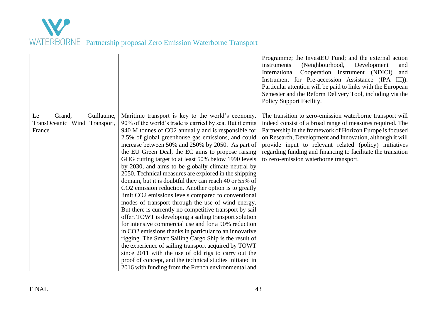|                              |                                                          | Programme; the InvestEU Fund; and the external action<br>(Neighbourhood,<br>Development<br>instruments<br>and<br>International Cooperation Instrument (NDICI)<br>and<br>Instrument for Pre-accession Assistance (IPA III)).<br>Particular attention will be paid to links with the European<br>Semester and the Reform Delivery Tool, including via the<br>Policy Support Facility. |
|------------------------------|----------------------------------------------------------|-------------------------------------------------------------------------------------------------------------------------------------------------------------------------------------------------------------------------------------------------------------------------------------------------------------------------------------------------------------------------------------|
| Guillaume,<br>Grand,<br>Le   | Maritime transport is key to the world's economy.        | The transition to zero-emission waterborne transport will                                                                                                                                                                                                                                                                                                                           |
| TransOceanic Wind Transport, | 90% of the world's trade is carried by sea. But it emits | indeed consist of a broad range of measures required. The                                                                                                                                                                                                                                                                                                                           |
| France                       | 940 M tonnes of CO2 annually and is responsible for      | Partnership in the framework of Horizon Europe is focused                                                                                                                                                                                                                                                                                                                           |
|                              | 2.5% of global greenhouse gas emissions, and could       | on Research, Development and Innovation, although it will                                                                                                                                                                                                                                                                                                                           |
|                              | increase between 50% and 250% by 2050. As part of        | provide input to relevant related (policy) initiatives                                                                                                                                                                                                                                                                                                                              |
|                              | the EU Green Deal, the EC aims to propose raising        | regarding funding and financing to facilitate the transition                                                                                                                                                                                                                                                                                                                        |
|                              | GHG cutting target to at least 50% below 1990 levels     | to zero-emission waterborne transport.                                                                                                                                                                                                                                                                                                                                              |
|                              | by 2030, and aims to be globally climate-neutral by      |                                                                                                                                                                                                                                                                                                                                                                                     |
|                              | 2050. Technical measures are explored in the shipping    |                                                                                                                                                                                                                                                                                                                                                                                     |
|                              | domain, but it is doubtful they can reach 40 or 55% of   |                                                                                                                                                                                                                                                                                                                                                                                     |
|                              | CO2 emission reduction. Another option is to greatly     |                                                                                                                                                                                                                                                                                                                                                                                     |
|                              | limit CO2 emissions levels compared to conventional      |                                                                                                                                                                                                                                                                                                                                                                                     |
|                              | modes of transport through the use of wind energy.       |                                                                                                                                                                                                                                                                                                                                                                                     |
|                              | But there is currently no competitive transport by sail  |                                                                                                                                                                                                                                                                                                                                                                                     |
|                              | offer. TOWT is developing a sailing transport solution   |                                                                                                                                                                                                                                                                                                                                                                                     |
|                              | for intensive commercial use and for a 90% reduction     |                                                                                                                                                                                                                                                                                                                                                                                     |
|                              | in CO2 emissions thanks in particular to an innovative   |                                                                                                                                                                                                                                                                                                                                                                                     |
|                              | rigging. The Smart Sailing Cargo Ship is the result of   |                                                                                                                                                                                                                                                                                                                                                                                     |
|                              | the experience of sailing transport acquired by TOWT     |                                                                                                                                                                                                                                                                                                                                                                                     |
|                              | since 2011 with the use of old rigs to carry out the     |                                                                                                                                                                                                                                                                                                                                                                                     |
|                              | proof of concept, and the technical studies initiated in |                                                                                                                                                                                                                                                                                                                                                                                     |
|                              | 2016 with funding from the French environmental and      |                                                                                                                                                                                                                                                                                                                                                                                     |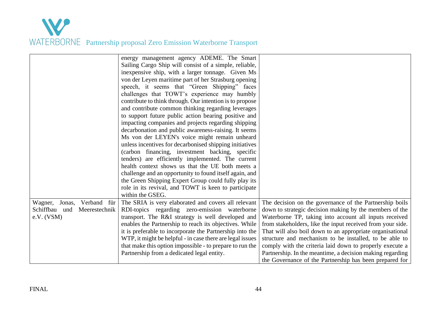| energy management agency ADEME. The Smart                                                                                                          |  |
|----------------------------------------------------------------------------------------------------------------------------------------------------|--|
| Sailing Cargo Ship will consist of a simple, reliable,                                                                                             |  |
| inexpensive ship, with a larger tonnage. Given Ms                                                                                                  |  |
| von der Leyen maritime part of her Strasburg opening                                                                                               |  |
| speech, it seems that "Green Shipping" faces                                                                                                       |  |
| challenges that TOWT's experience may humbly                                                                                                       |  |
| contribute to think through. Our intention is to propose                                                                                           |  |
| and contribute common thinking regarding leverages                                                                                                 |  |
| to support future public action bearing positive and                                                                                               |  |
| impacting companies and projects regarding shipping                                                                                                |  |
| decarbonation and public awareness-raising. It seems                                                                                               |  |
| Ms von der LEYEN's voice might remain unheard                                                                                                      |  |
| unless incentives for decarbonised shipping initiatives                                                                                            |  |
| (carbon financing, investment backing, specific                                                                                                    |  |
| tenders) are efficiently implemented. The current                                                                                                  |  |
| health context shows us that the UE both meets a                                                                                                   |  |
| challenge and an opportunity to found itself again, and                                                                                            |  |
| the Green Shipping Expert Group could fully play its                                                                                               |  |
| role in its revival, and TOWT is keen to participate                                                                                               |  |
| within the GSEG.                                                                                                                                   |  |
| The SRIA is very elaborated and covers all relevant<br>The decision on the governance of the Partnership boils<br>Verband für<br>Wagner,<br>Jonas, |  |
| Schiffbau und<br>RDI-topics regarding zero-emission waterborne<br>down to strategic decision making by the members of the<br>Meerestechnik         |  |
| e.V. (VSM)<br>transport. The R&I strategy is well developed and<br>Waterborne TP, taking into account all inputs received                          |  |
| enables the Partnership to reach its objectives. While<br>from stakeholders, like the input received from your side.                               |  |
| it is preferable to incorporate the Partnership into the<br>That will also boil down to an appropriate organisational                              |  |
| structure and mechanism to be installed, to be able to<br>WTP, it might be helpful - in case there are legal issues                                |  |
| that make this option impossible - to prepare to run the<br>comply with the criteria laid down to properly execute a                               |  |
| Partnership from a dedicated legal entity.<br>Partnership. In the meantime, a decision making regarding                                            |  |
| the Governance of the Partnership has been prepared for                                                                                            |  |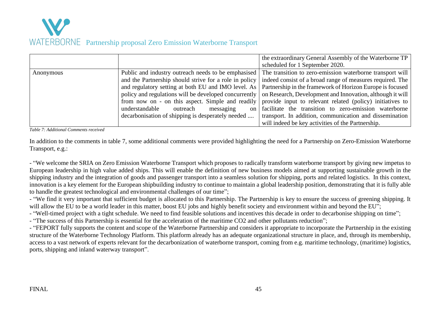

|           |                                                        | the extraordinary General Assembly of the Waterborne TP   |
|-----------|--------------------------------------------------------|-----------------------------------------------------------|
|           |                                                        | scheduled for 1 September 2020.                           |
| Anonymous | Public and industry outreach needs to be emphasised    | The transition to zero-emission waterborne transport will |
|           | and the Partnership should strive for a role in policy | indeed consist of a broad range of measures required. The |
|           | and regulatory setting at both EU and IMO level. As    | Partnership in the framework of Horizon Europe is focused |
|           | policy and regulations will be developed concurrently  | on Research, Development and Innovation, although it will |
|           | from now on - on this aspect. Simple and readily       | provide input to relevant related (policy) initiatives to |
|           | understandable<br>outreach<br>messaging<br>on l        | facilitate the transition to zero-emission waterborne     |
|           | decarbonisation of shipping is desperately needed      | transport. In addition, communication and dissemination   |
|           |                                                        | will indeed be key activities of the Partnership.         |

*Table 7: Additional Comments received*

In addition to the comments in table 7, some additional comments were provided highlighting the need for a Partnership on Zero-Emission Waterborne Transport, e.g.:

- "We welcome the SRIA on Zero Emission Waterborne Transport which proposes to radically transform waterborne transport by giving new impetus to European leadership in high value added ships. This will enable the definition of new business models aimed at supporting sustainable growth in the shipping industry and the integration of goods and passenger transport into a seamless solution for shipping, ports and related logistics. In this context, innovation is a key element for the European shipbuilding industry to continue to maintain a global leadership position, demonstrating that it is fully able to handle the greatest technological and environmental challenges of our time";

- "We find it very important that sufficient budget is allocated to this Partnership. The Partnership is key to ensure the success of greening shipping. It will allow the EU to be a world leader in this matter, boost EU jobs and highly benefit society and environment within and beyond the EU";

- "Well-timed project with a tight schedule. We need to find feasible solutions and incentives this decade in order to decarbonise shipping on time";

- "The success of this Partnership is essential for the acceleration of the maritime CO2 and other pollutants reduction";

- "FEPORT fully supports the content and scope of the Waterborne Partnership and considers it appropriate to incorporate the Partnership in the existing structure of the Waterborne Technology Platform. This platform already has an adequate organizational structure in place, and, through its membership, access to a vast network of experts relevant for the decarbonization of waterborne transport, coming from e.g. maritime technology, (maritime) logistics, ports, shipping and inland waterway transport".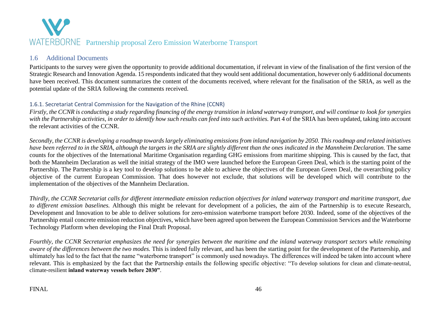### 1.6 Additional Documents

Participants to the survey were given the opportunity to provide additional documentation, if relevant in view of the finalisation of the first version of the Strategic Research and Innovation Agenda. 15 respondents indicated that they would sent additional documentation, however only 6 additional documents have been received. This document summarizes the content of the documents received, where relevant for the finalisation of the SRIA, as well as the potential update of the SRIA following the comments received.

### 1.6.1. Secretariat Central Commission for the Navigation of the Rhine (CCNR)

*Firstly, the CCNR is conducting a study regarding financing of the energy transition in inland waterway transport, and will continue to look for synergies with the Partnership activities, in order to identify how such results can feed into such activities.* Part 4 of the SRIA has been updated, taking into account the relevant activities of the CCNR.

*Secondly, the CCNR is developing a roadmap towards largely eliminating emissions from inland navigation by 2050. This roadmap and related initiatives have been referred to in the SRIA, although the targets in the SRIA are slightly different than the ones indicated in the Mannheim Declaration.* The same counts for the objectives of the International Maritime Organisation regarding GHG emissions from maritime shipping. This is caused by the fact, that both the Mannheim Declaration as well the initial strategy of the IMO were launched before the European Green Deal, which is the starting point of the Partnership. The Partnership is a key tool to develop solutions to be able to achieve the objectives of the European Green Deal, the overarching policy objective of the current European Commission. That does however not exclude, that solutions will be developed which will contribute to the implementation of the objectives of the Mannheim Declaration.

<span id="page-46-0"></span>*Thirdly, the CCNR Secretariat calls for different intermediate emission reduction objectives for inland waterway transport and maritime transport, due to different emission baselines.* Although this might be relevant for development of a policies, the aim of the Partnership is to execute Research, Development and Innovation to be able to deliver solutions for zero-emission waterborne transport before 2030. Indeed, some of the objectives of the Partnership entail concrete emission reduction objectives, which have been agreed upon between the European Commission Services and the Waterborne Technology Platform when developing the Final Draft Proposal.

<span id="page-46-1"></span>Fourthly, the CCNR Secretariat emphasizes the need for synergies between the maritime and the inland waterway transport sectors while remaining *aware of the differences between the two modes.* This is indeed fully relevant, and has been the starting point for the development of the Partnership, and ultimately has led to the fact that the name "waterborne transport" is commonly used nowadays. The differences will indeed be taken into account where relevant. This is emphasized by the fact that the Partnership entails the following specific objective: "To develop solutions for clean and climate-neutral, climate-resilient **inland waterway vessels before 2030"**.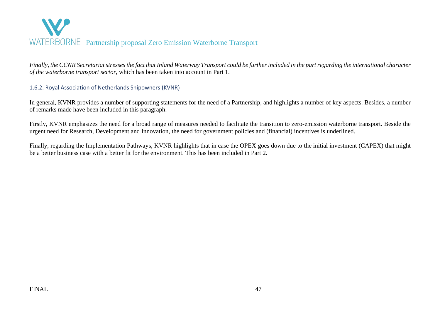

*Finally, the CCNR Secretariat stresses the fact that Inland Waterway Transport could be further included in the part regarding the international character of the waterborne transport sector,* which has been taken into account in Part 1.

#### 1.6.2. Royal Association of Netherlands Shipowners (KVNR)

In general, KVNR provides a number of supporting statements for the need of a Partnership, and highlights a number of key aspects. Besides, a number of remarks made have been included in this paragraph.

Firstly, KVNR emphasizes the need for a broad range of measures needed to facilitate the transition to zero-emission waterborne transport. Beside the urgent need for Research, Development and Innovation, the need for government policies and (financial) incentives is underlined.

<span id="page-47-0"></span>Finally, regarding the Implementation Pathways, KVNR highlights that in case the OPEX goes down due to the initial investment (CAPEX) that might be a better business case with a better fit for the environment. This has been included in Part 2.